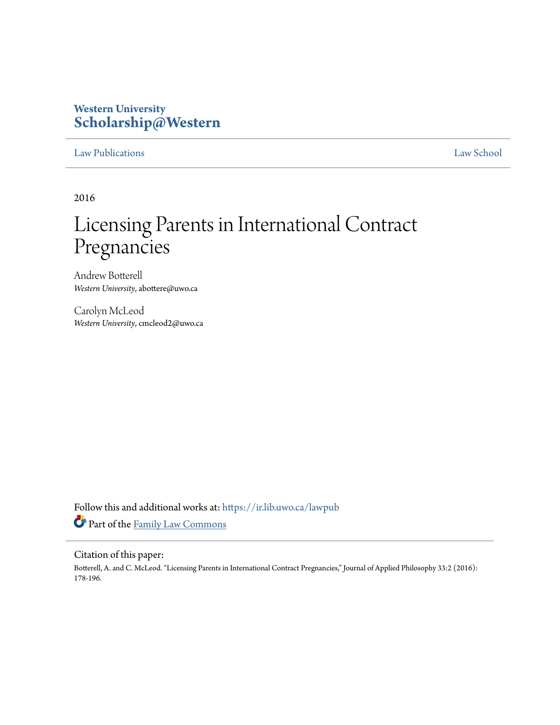# **Western University [Scholarship@Western](https://ir.lib.uwo.ca?utm_source=ir.lib.uwo.ca%2Flawpub%2F186&utm_medium=PDF&utm_campaign=PDFCoverPages)**

# [Law Publications](https://ir.lib.uwo.ca/lawpub?utm_source=ir.lib.uwo.ca%2Flawpub%2F186&utm_medium=PDF&utm_campaign=PDFCoverPages) [Law School](https://ir.lib.uwo.ca/law?utm_source=ir.lib.uwo.ca%2Flawpub%2F186&utm_medium=PDF&utm_campaign=PDFCoverPages)

2016

# Licensing Parents in International Contract Pregnancies

Andrew Botterell *Western University*, abottere@uwo.ca

Carolyn McLeod *Western University*, cmcleod2@uwo.ca

Follow this and additional works at: [https://ir.lib.uwo.ca/lawpub](https://ir.lib.uwo.ca/lawpub?utm_source=ir.lib.uwo.ca%2Flawpub%2F186&utm_medium=PDF&utm_campaign=PDFCoverPages) Part of the [Family Law Commons](http://network.bepress.com/hgg/discipline/602?utm_source=ir.lib.uwo.ca%2Flawpub%2F186&utm_medium=PDF&utm_campaign=PDFCoverPages)

#### Citation of this paper:

Botterell, A. and C. McLeod. "Licensing Parents in International Contract Pregnancies," Journal of Applied Philosophy 33:2 (2016): 178-196.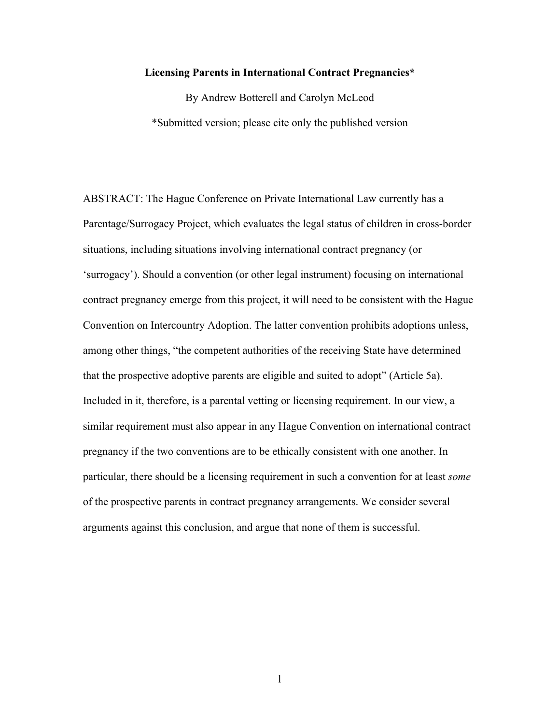#### **Licensing Parents in International Contract Pregnancies\***

By Andrew Botterell and Carolyn McLeod \*Submitted version; please cite only the published version

ABSTRACT: The Hague Conference on Private International Law currently has a Parentage/Surrogacy Project, which evaluates the legal status of children in cross-border situations, including situations involving international contract pregnancy (or 'surrogacy'). Should a convention (or other legal instrument) focusing on international contract pregnancy emerge from this project, it will need to be consistent with the Hague Convention on Intercountry Adoption. The latter convention prohibits adoptions unless, among other things, "the competent authorities of the receiving State have determined that the prospective adoptive parents are eligible and suited to adopt" (Article 5a). Included in it, therefore, is a parental vetting or licensing requirement. In our view, a similar requirement must also appear in any Hague Convention on international contract pregnancy if the two conventions are to be ethically consistent with one another. In particular, there should be a licensing requirement in such a convention for at least *some* of the prospective parents in contract pregnancy arrangements. We consider several arguments against this conclusion, and argue that none of them is successful.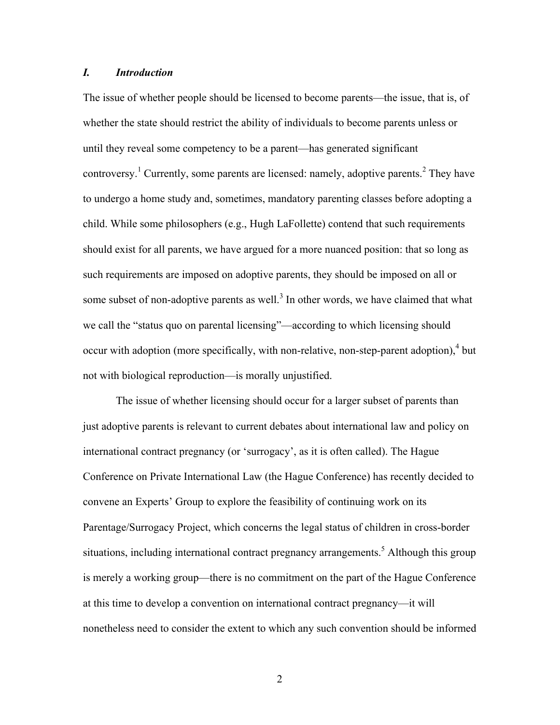# *I. Introduction*

The issue of whether people should be licensed to become parents—the issue, that is, of whether the state should restrict the ability of individuals to become parents unless or until they reveal some competency to be a parent—has generated significant controversy.<sup>1</sup> Currently, some parents are licensed: namely, adoptive parents.<sup>2</sup> They have to undergo a home study and, sometimes, mandatory parenting classes before adopting a child. While some philosophers (e.g., Hugh LaFollette) contend that such requirements should exist for all parents, we have argued for a more nuanced position: that so long as such requirements are imposed on adoptive parents, they should be imposed on all or some subset of non-adoptive parents as well.<sup>3</sup> In other words, we have claimed that what we call the "status quo on parental licensing"—according to which licensing should occur with adoption (more specifically, with non-relative, non-step-parent adoption), $4$  but not with biological reproduction—is morally unjustified.

The issue of whether licensing should occur for a larger subset of parents than just adoptive parents is relevant to current debates about international law and policy on international contract pregnancy (or 'surrogacy', as it is often called). The Hague Conference on Private International Law (the Hague Conference) has recently decided to convene an Experts' Group to explore the feasibility of continuing work on its Parentage/Surrogacy Project, which concerns the legal status of children in cross-border situations, including international contract pregnancy arrangements.<sup>5</sup> Although this group is merely a working group—there is no commitment on the part of the Hague Conference at this time to develop a convention on international contract pregnancy—it will nonetheless need to consider the extent to which any such convention should be informed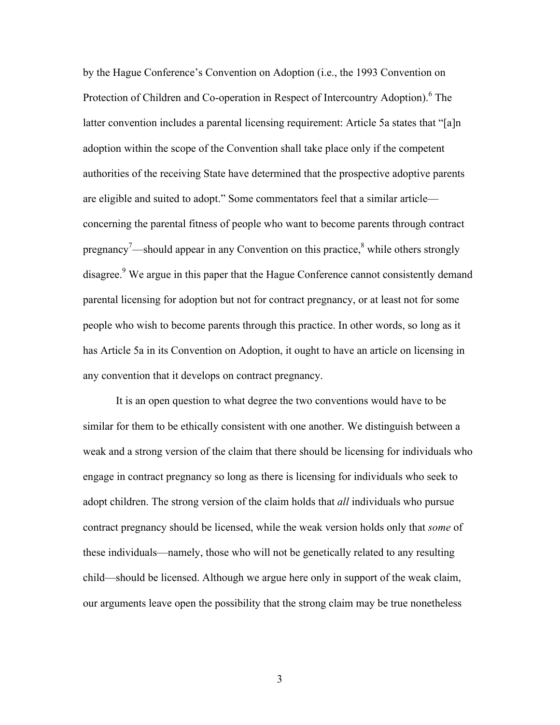by the Hague Conference's Convention on Adoption (i.e., the 1993 Convention on Protection of Children and Co-operation in Respect of Intercountry Adoption).<sup>6</sup> The latter convention includes a parental licensing requirement: Article 5a states that "[a]n adoption within the scope of the Convention shall take place only if the competent authorities of the receiving State have determined that the prospective adoptive parents are eligible and suited to adopt." Some commentators feel that a similar article concerning the parental fitness of people who want to become parents through contract pregnancy<sup>7</sup>—should appear in any Convention on this practice,<sup>8</sup> while others strongly disagree.<sup>9</sup> We argue in this paper that the Hague Conference cannot consistently demand parental licensing for adoption but not for contract pregnancy, or at least not for some people who wish to become parents through this practice. In other words, so long as it has Article 5a in its Convention on Adoption, it ought to have an article on licensing in any convention that it develops on contract pregnancy.

It is an open question to what degree the two conventions would have to be similar for them to be ethically consistent with one another. We distinguish between a weak and a strong version of the claim that there should be licensing for individuals who engage in contract pregnancy so long as there is licensing for individuals who seek to adopt children. The strong version of the claim holds that *all* individuals who pursue contract pregnancy should be licensed, while the weak version holds only that *some* of these individuals—namely, those who will not be genetically related to any resulting child—should be licensed. Although we argue here only in support of the weak claim, our arguments leave open the possibility that the strong claim may be true nonetheless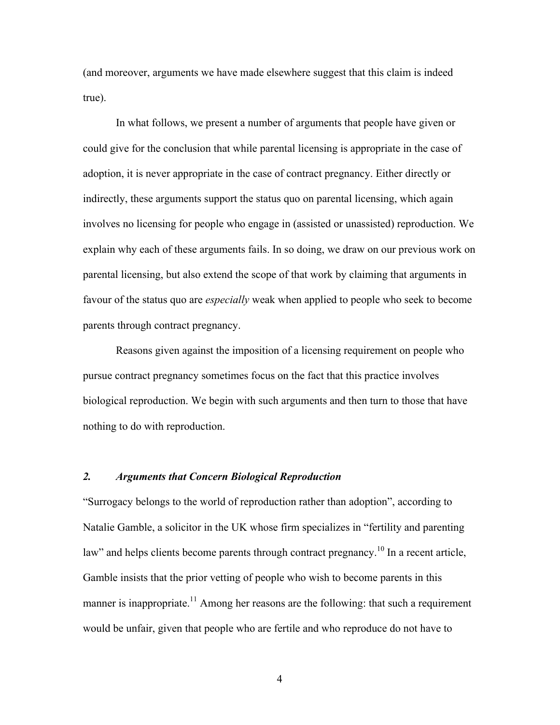(and moreover, arguments we have made elsewhere suggest that this claim is indeed true).

In what follows, we present a number of arguments that people have given or could give for the conclusion that while parental licensing is appropriate in the case of adoption, it is never appropriate in the case of contract pregnancy. Either directly or indirectly, these arguments support the status quo on parental licensing, which again involves no licensing for people who engage in (assisted or unassisted) reproduction. We explain why each of these arguments fails. In so doing, we draw on our previous work on parental licensing, but also extend the scope of that work by claiming that arguments in favour of the status quo are *especially* weak when applied to people who seek to become parents through contract pregnancy.

Reasons given against the imposition of a licensing requirement on people who pursue contract pregnancy sometimes focus on the fact that this practice involves biological reproduction. We begin with such arguments and then turn to those that have nothing to do with reproduction.

# *2. Arguments that Concern Biological Reproduction*

"Surrogacy belongs to the world of reproduction rather than adoption", according to Natalie Gamble, a solicitor in the UK whose firm specializes in "fertility and parenting law" and helps clients become parents through contract pregnancy.<sup>10</sup> In a recent article, Gamble insists that the prior vetting of people who wish to become parents in this manner is inappropriate.<sup>11</sup> Among her reasons are the following: that such a requirement would be unfair, given that people who are fertile and who reproduce do not have to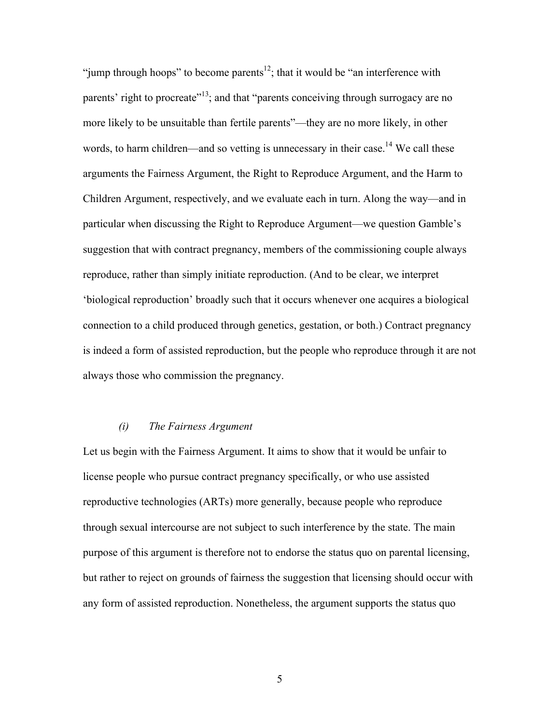"jump through hoops" to become parents<sup>12</sup>; that it would be "an interference with parents' right to procreate<sup>"13</sup>; and that "parents conceiving through surrogacy are no more likely to be unsuitable than fertile parents"—they are no more likely, in other words, to harm children—and so vetting is unnecessary in their case.<sup>14</sup> We call these arguments the Fairness Argument, the Right to Reproduce Argument, and the Harm to Children Argument, respectively, and we evaluate each in turn. Along the way—and in particular when discussing the Right to Reproduce Argument—we question Gamble's suggestion that with contract pregnancy, members of the commissioning couple always reproduce, rather than simply initiate reproduction. (And to be clear, we interpret 'biological reproduction' broadly such that it occurs whenever one acquires a biological connection to a child produced through genetics, gestation, or both.) Contract pregnancy is indeed a form of assisted reproduction, but the people who reproduce through it are not always those who commission the pregnancy.

# *(i) The Fairness Argument*

Let us begin with the Fairness Argument. It aims to show that it would be unfair to license people who pursue contract pregnancy specifically, or who use assisted reproductive technologies (ARTs) more generally, because people who reproduce through sexual intercourse are not subject to such interference by the state. The main purpose of this argument is therefore not to endorse the status quo on parental licensing, but rather to reject on grounds of fairness the suggestion that licensing should occur with any form of assisted reproduction. Nonetheless, the argument supports the status quo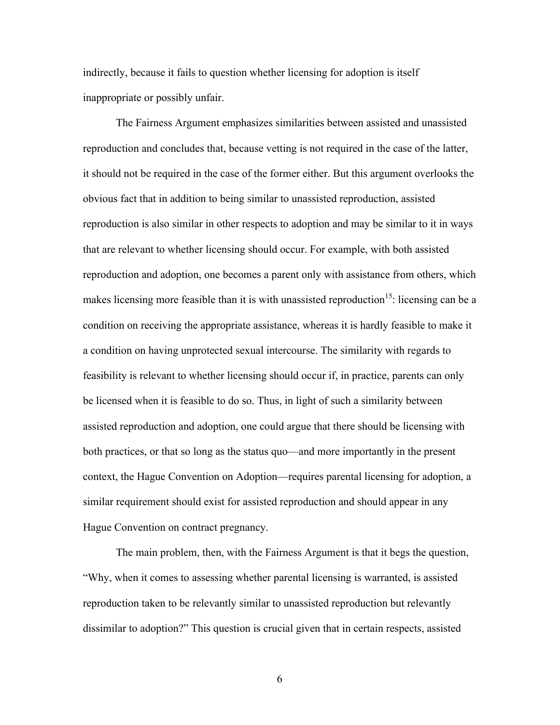indirectly, because it fails to question whether licensing for adoption is itself inappropriate or possibly unfair.

The Fairness Argument emphasizes similarities between assisted and unassisted reproduction and concludes that, because vetting is not required in the case of the latter, it should not be required in the case of the former either. But this argument overlooks the obvious fact that in addition to being similar to unassisted reproduction, assisted reproduction is also similar in other respects to adoption and may be similar to it in ways that are relevant to whether licensing should occur. For example, with both assisted reproduction and adoption, one becomes a parent only with assistance from others, which makes licensing more feasible than it is with unassisted reproduction<sup>15</sup>: licensing can be a condition on receiving the appropriate assistance, whereas it is hardly feasible to make it a condition on having unprotected sexual intercourse. The similarity with regards to feasibility is relevant to whether licensing should occur if, in practice, parents can only be licensed when it is feasible to do so. Thus, in light of such a similarity between assisted reproduction and adoption, one could argue that there should be licensing with both practices, or that so long as the status quo—and more importantly in the present context, the Hague Convention on Adoption—requires parental licensing for adoption, a similar requirement should exist for assisted reproduction and should appear in any Hague Convention on contract pregnancy.

The main problem, then, with the Fairness Argument is that it begs the question, "Why, when it comes to assessing whether parental licensing is warranted, is assisted reproduction taken to be relevantly similar to unassisted reproduction but relevantly dissimilar to adoption?" This question is crucial given that in certain respects, assisted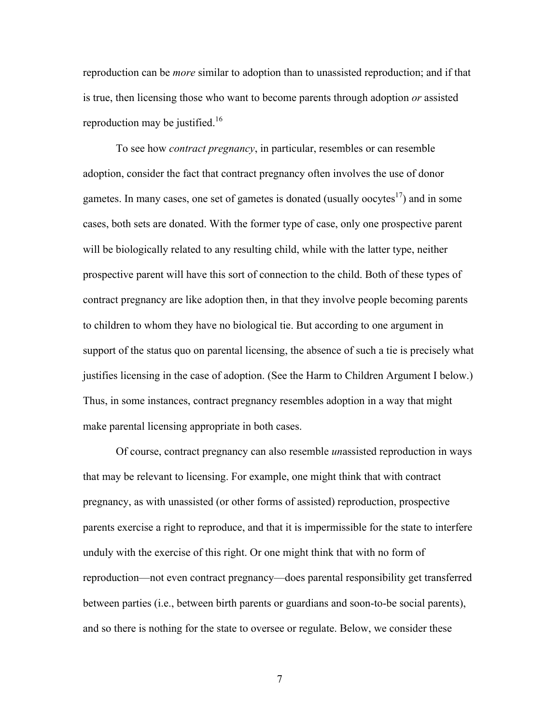reproduction can be *more* similar to adoption than to unassisted reproduction; and if that is true, then licensing those who want to become parents through adoption *or* assisted reproduction may be justified.<sup>16</sup>

To see how *contract pregnancy*, in particular, resembles or can resemble adoption, consider the fact that contract pregnancy often involves the use of donor gametes. In many cases, one set of gametes is donated (usually oocytes<sup>17</sup>) and in some cases, both sets are donated. With the former type of case, only one prospective parent will be biologically related to any resulting child, while with the latter type, neither prospective parent will have this sort of connection to the child. Both of these types of contract pregnancy are like adoption then, in that they involve people becoming parents to children to whom they have no biological tie. But according to one argument in support of the status quo on parental licensing, the absence of such a tie is precisely what justifies licensing in the case of adoption. (See the Harm to Children Argument I below.) Thus, in some instances, contract pregnancy resembles adoption in a way that might make parental licensing appropriate in both cases.

Of course, contract pregnancy can also resemble *un*assisted reproduction in ways that may be relevant to licensing. For example, one might think that with contract pregnancy, as with unassisted (or other forms of assisted) reproduction, prospective parents exercise a right to reproduce, and that it is impermissible for the state to interfere unduly with the exercise of this right. Or one might think that with no form of reproduction—not even contract pregnancy—does parental responsibility get transferred between parties (i.e., between birth parents or guardians and soon-to-be social parents), and so there is nothing for the state to oversee or regulate. Below, we consider these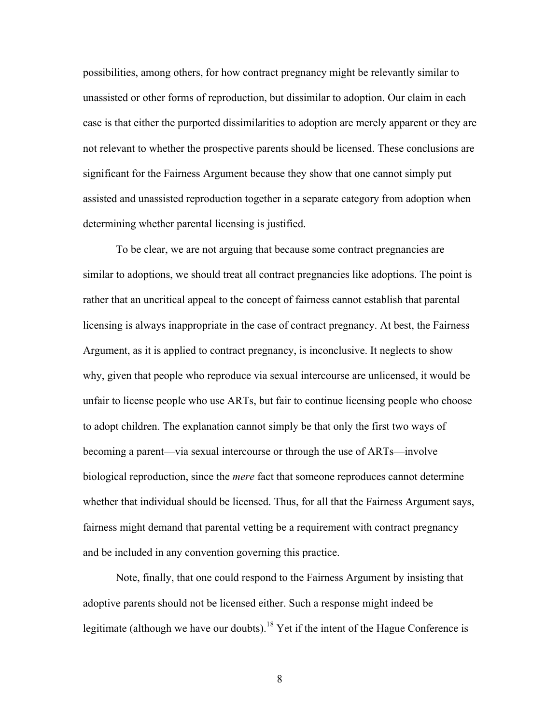possibilities, among others, for how contract pregnancy might be relevantly similar to unassisted or other forms of reproduction, but dissimilar to adoption. Our claim in each case is that either the purported dissimilarities to adoption are merely apparent or they are not relevant to whether the prospective parents should be licensed. These conclusions are significant for the Fairness Argument because they show that one cannot simply put assisted and unassisted reproduction together in a separate category from adoption when determining whether parental licensing is justified.

To be clear, we are not arguing that because some contract pregnancies are similar to adoptions, we should treat all contract pregnancies like adoptions. The point is rather that an uncritical appeal to the concept of fairness cannot establish that parental licensing is always inappropriate in the case of contract pregnancy. At best, the Fairness Argument, as it is applied to contract pregnancy, is inconclusive. It neglects to show why, given that people who reproduce via sexual intercourse are unlicensed, it would be unfair to license people who use ARTs, but fair to continue licensing people who choose to adopt children. The explanation cannot simply be that only the first two ways of becoming a parent—via sexual intercourse or through the use of ARTs—involve biological reproduction, since the *mere* fact that someone reproduces cannot determine whether that individual should be licensed. Thus, for all that the Fairness Argument says, fairness might demand that parental vetting be a requirement with contract pregnancy and be included in any convention governing this practice.

Note, finally, that one could respond to the Fairness Argument by insisting that adoptive parents should not be licensed either. Such a response might indeed be legitimate (although we have our doubts).<sup>18</sup> Yet if the intent of the Hague Conference is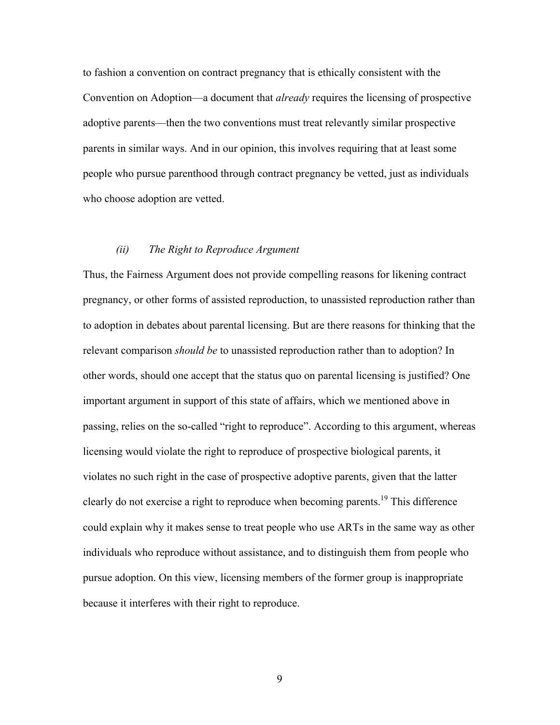to fashion a convention on contract pregnancy that is ethically consistent with the Convention on Adoption—a document that *already* requires the licensing of prospective adoptive parents—then the two conventions must treat relevantly similar prospective parents in similar ways. And in our opinion, this involves requiring that at least some people who pursue parenthood through contract pregnancy be vetted, just as individuals who choose adoption are vetted.

#### *(ii) The Right to Reproduce Argument*

Thus, the Fairness Argument does not provide compelling reasons for likening contract pregnancy, or other forms of assisted reproduction, to unassisted reproduction rather than to adoption in debates about parental licensing. But are there reasons for thinking that the relevant comparison *should be* to unassisted reproduction rather than to adoption? In other words, should one accept that the status quo on parental licensing is justified? One important argument in support of this state of affairs, which we mentioned above in passing, relies on the so-called "right to reproduce". According to this argument, whereas licensing would violate the right to reproduce of prospective biological parents, it violates no such right in the case of prospective adoptive parents, given that the latter clearly do not exercise a right to reproduce when becoming parents.<sup>19</sup> This difference could explain why it makes sense to treat people who use ARTs in the same way as other individuals who reproduce without assistance, and to distinguish them from people who pursue adoption. On this view, licensing members of the former group is inappropriate because it interferes with their right to reproduce.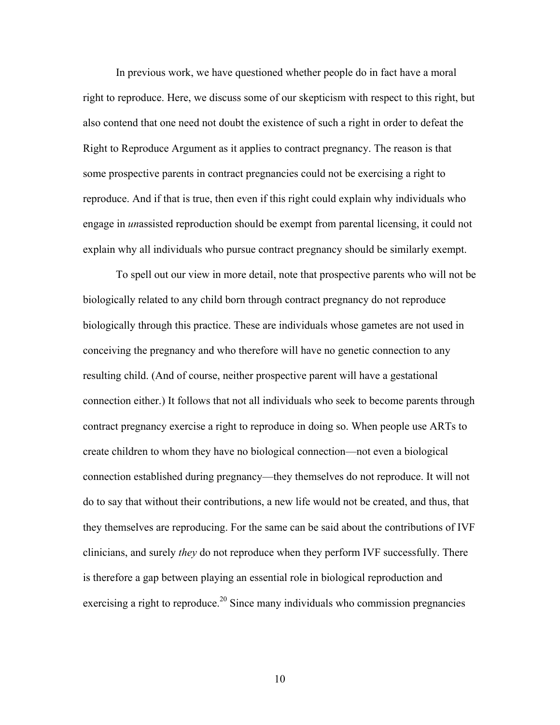In previous work, we have questioned whether people do in fact have a moral right to reproduce. Here, we discuss some of our skepticism with respect to this right, but also contend that one need not doubt the existence of such a right in order to defeat the Right to Reproduce Argument as it applies to contract pregnancy. The reason is that some prospective parents in contract pregnancies could not be exercising a right to reproduce. And if that is true, then even if this right could explain why individuals who engage in *un*assisted reproduction should be exempt from parental licensing, it could not explain why all individuals who pursue contract pregnancy should be similarly exempt.

To spell out our view in more detail, note that prospective parents who will not be biologically related to any child born through contract pregnancy do not reproduce biologically through this practice. These are individuals whose gametes are not used in conceiving the pregnancy and who therefore will have no genetic connection to any resulting child. (And of course, neither prospective parent will have a gestational connection either.) It follows that not all individuals who seek to become parents through contract pregnancy exercise a right to reproduce in doing so. When people use ARTs to create children to whom they have no biological connection—not even a biological connection established during pregnancy—they themselves do not reproduce. It will not do to say that without their contributions, a new life would not be created, and thus, that they themselves are reproducing. For the same can be said about the contributions of IVF clinicians, and surely *they* do not reproduce when they perform IVF successfully. There is therefore a gap between playing an essential role in biological reproduction and exercising a right to reproduce.<sup>20</sup> Since many individuals who commission pregnancies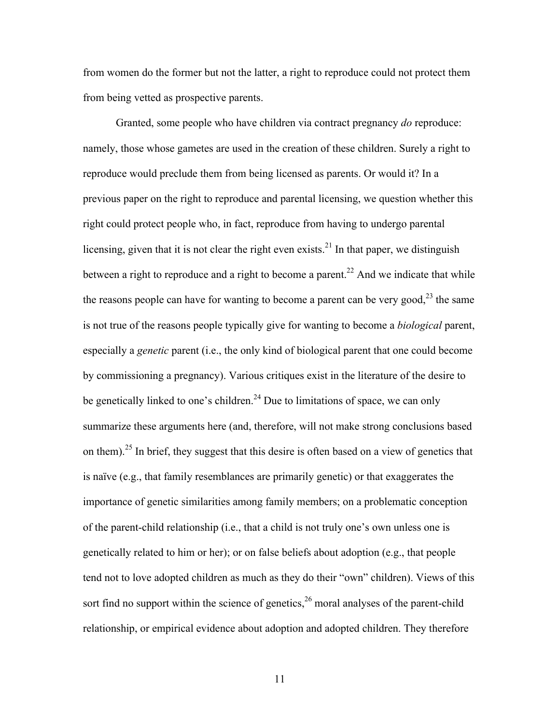from women do the former but not the latter, a right to reproduce could not protect them from being vetted as prospective parents.

Granted, some people who have children via contract pregnancy *do* reproduce: namely, those whose gametes are used in the creation of these children. Surely a right to reproduce would preclude them from being licensed as parents. Or would it? In a previous paper on the right to reproduce and parental licensing, we question whether this right could protect people who, in fact, reproduce from having to undergo parental licensing, given that it is not clear the right even exists.<sup>21</sup> In that paper, we distinguish between a right to reproduce and a right to become a parent.<sup>22</sup> And we indicate that while the reasons people can have for wanting to become a parent can be very good,  $2^3$  the same is not true of the reasons people typically give for wanting to become a *biological* parent, especially a *genetic* parent (i.e., the only kind of biological parent that one could become by commissioning a pregnancy). Various critiques exist in the literature of the desire to be genetically linked to one's children.<sup>24</sup> Due to limitations of space, we can only summarize these arguments here (and, therefore, will not make strong conclusions based on them).<sup>25</sup> In brief, they suggest that this desire is often based on a view of genetics that is naïve (e.g., that family resemblances are primarily genetic) or that exaggerates the importance of genetic similarities among family members; on a problematic conception of the parent-child relationship (i.e., that a child is not truly one's own unless one is genetically related to him or her); or on false beliefs about adoption (e.g., that people tend not to love adopted children as much as they do their "own" children). Views of this sort find no support within the science of genetics,  $26$  moral analyses of the parent-child relationship, or empirical evidence about adoption and adopted children. They therefore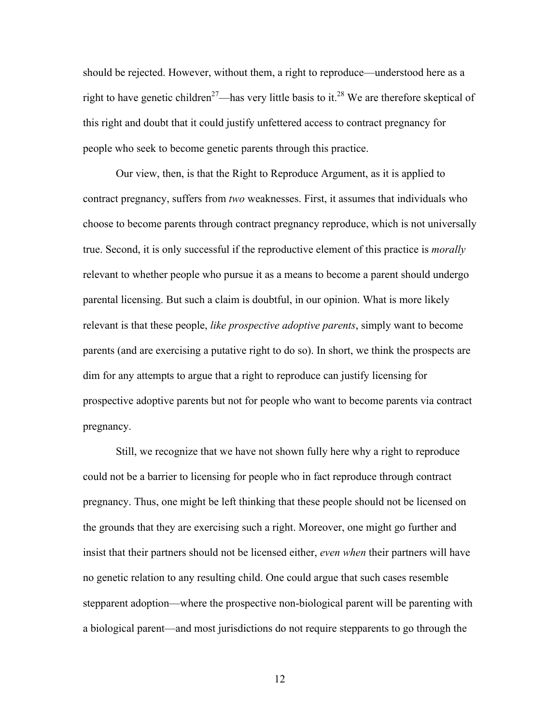should be rejected. However, without them, a right to reproduce—understood here as a right to have genetic children<sup>27</sup>—has very little basis to it.<sup>28</sup> We are therefore skeptical of this right and doubt that it could justify unfettered access to contract pregnancy for people who seek to become genetic parents through this practice.

Our view, then, is that the Right to Reproduce Argument, as it is applied to contract pregnancy, suffers from *two* weaknesses. First, it assumes that individuals who choose to become parents through contract pregnancy reproduce, which is not universally true. Second, it is only successful if the reproductive element of this practice is *morally* relevant to whether people who pursue it as a means to become a parent should undergo parental licensing. But such a claim is doubtful, in our opinion. What is more likely relevant is that these people, *like prospective adoptive parents*, simply want to become parents (and are exercising a putative right to do so). In short, we think the prospects are dim for any attempts to argue that a right to reproduce can justify licensing for prospective adoptive parents but not for people who want to become parents via contract pregnancy.

Still, we recognize that we have not shown fully here why a right to reproduce could not be a barrier to licensing for people who in fact reproduce through contract pregnancy. Thus, one might be left thinking that these people should not be licensed on the grounds that they are exercising such a right. Moreover, one might go further and insist that their partners should not be licensed either, *even when* their partners will have no genetic relation to any resulting child. One could argue that such cases resemble stepparent adoption—where the prospective non-biological parent will be parenting with a biological parent—and most jurisdictions do not require stepparents to go through the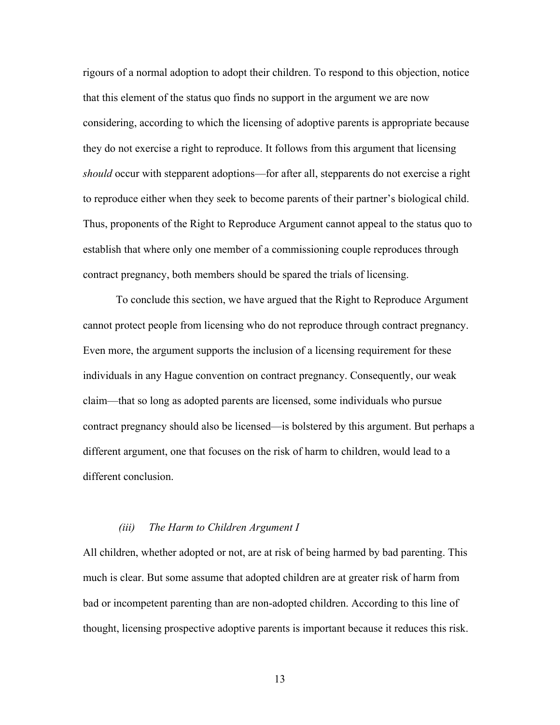rigours of a normal adoption to adopt their children. To respond to this objection, notice that this element of the status quo finds no support in the argument we are now considering, according to which the licensing of adoptive parents is appropriate because they do not exercise a right to reproduce. It follows from this argument that licensing *should* occur with stepparent adoptions—for after all, stepparents do not exercise a right to reproduce either when they seek to become parents of their partner's biological child. Thus, proponents of the Right to Reproduce Argument cannot appeal to the status quo to establish that where only one member of a commissioning couple reproduces through contract pregnancy, both members should be spared the trials of licensing.

To conclude this section, we have argued that the Right to Reproduce Argument cannot protect people from licensing who do not reproduce through contract pregnancy. Even more, the argument supports the inclusion of a licensing requirement for these individuals in any Hague convention on contract pregnancy. Consequently, our weak claim—that so long as adopted parents are licensed, some individuals who pursue contract pregnancy should also be licensed—is bolstered by this argument. But perhaps a different argument, one that focuses on the risk of harm to children, would lead to a different conclusion.

#### *(iii) The Harm to Children Argument I*

All children, whether adopted or not, are at risk of being harmed by bad parenting. This much is clear. But some assume that adopted children are at greater risk of harm from bad or incompetent parenting than are non-adopted children. According to this line of thought, licensing prospective adoptive parents is important because it reduces this risk.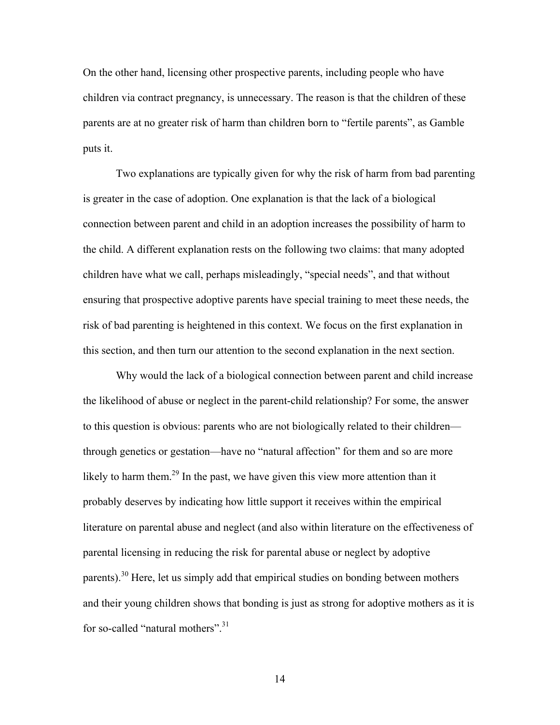On the other hand, licensing other prospective parents, including people who have children via contract pregnancy, is unnecessary. The reason is that the children of these parents are at no greater risk of harm than children born to "fertile parents", as Gamble puts it.

Two explanations are typically given for why the risk of harm from bad parenting is greater in the case of adoption. One explanation is that the lack of a biological connection between parent and child in an adoption increases the possibility of harm to the child. A different explanation rests on the following two claims: that many adopted children have what we call, perhaps misleadingly, "special needs", and that without ensuring that prospective adoptive parents have special training to meet these needs, the risk of bad parenting is heightened in this context. We focus on the first explanation in this section, and then turn our attention to the second explanation in the next section.

Why would the lack of a biological connection between parent and child increase the likelihood of abuse or neglect in the parent-child relationship? For some, the answer to this question is obvious: parents who are not biologically related to their children through genetics or gestation—have no "natural affection" for them and so are more likely to harm them.<sup>29</sup> In the past, we have given this view more attention than it probably deserves by indicating how little support it receives within the empirical literature on parental abuse and neglect (and also within literature on the effectiveness of parental licensing in reducing the risk for parental abuse or neglect by adoptive parents).<sup>30</sup> Here, let us simply add that empirical studies on bonding between mothers and their young children shows that bonding is just as strong for adoptive mothers as it is for so-called "natural mothers".<sup>31</sup>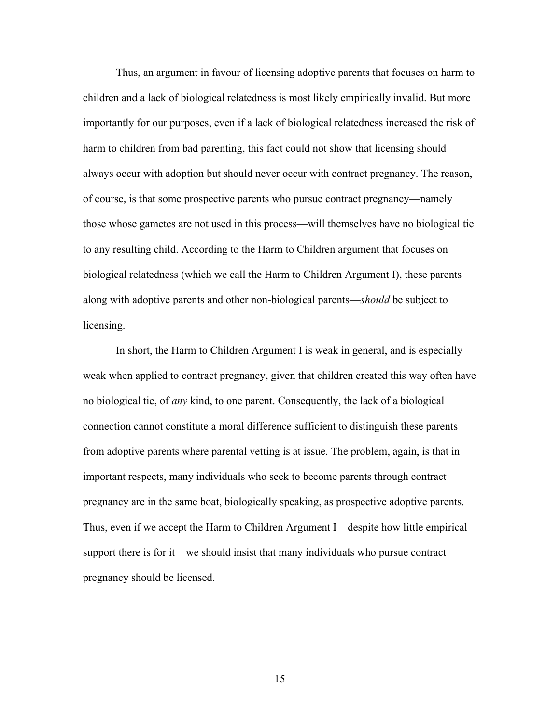Thus, an argument in favour of licensing adoptive parents that focuses on harm to children and a lack of biological relatedness is most likely empirically invalid. But more importantly for our purposes, even if a lack of biological relatedness increased the risk of harm to children from bad parenting, this fact could not show that licensing should always occur with adoption but should never occur with contract pregnancy. The reason, of course, is that some prospective parents who pursue contract pregnancy—namely those whose gametes are not used in this process—will themselves have no biological tie to any resulting child. According to the Harm to Children argument that focuses on biological relatedness (which we call the Harm to Children Argument I), these parents along with adoptive parents and other non-biological parents—*should* be subject to licensing.

In short, the Harm to Children Argument I is weak in general, and is especially weak when applied to contract pregnancy, given that children created this way often have no biological tie, of *any* kind, to one parent. Consequently, the lack of a biological connection cannot constitute a moral difference sufficient to distinguish these parents from adoptive parents where parental vetting is at issue. The problem, again, is that in important respects, many individuals who seek to become parents through contract pregnancy are in the same boat, biologically speaking, as prospective adoptive parents. Thus, even if we accept the Harm to Children Argument I—despite how little empirical support there is for it—we should insist that many individuals who pursue contract pregnancy should be licensed.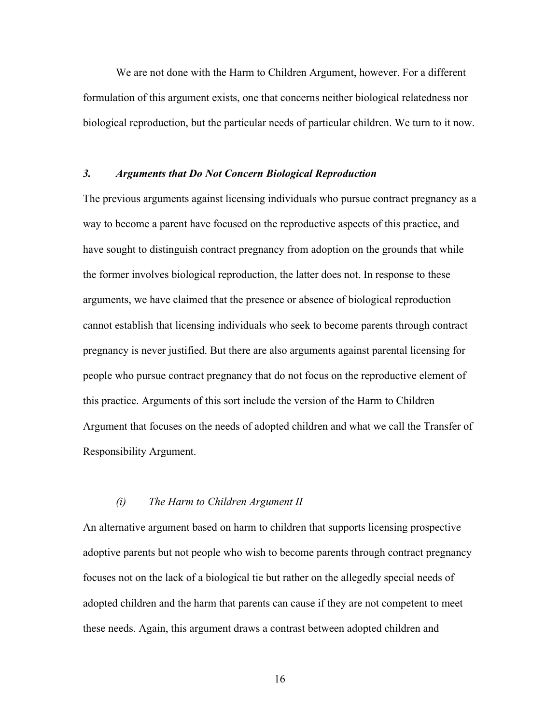We are not done with the Harm to Children Argument, however. For a different formulation of this argument exists, one that concerns neither biological relatedness nor biological reproduction, but the particular needs of particular children. We turn to it now.

# *3. Arguments that Do Not Concern Biological Reproduction*

The previous arguments against licensing individuals who pursue contract pregnancy as a way to become a parent have focused on the reproductive aspects of this practice, and have sought to distinguish contract pregnancy from adoption on the grounds that while the former involves biological reproduction, the latter does not. In response to these arguments, we have claimed that the presence or absence of biological reproduction cannot establish that licensing individuals who seek to become parents through contract pregnancy is never justified. But there are also arguments against parental licensing for people who pursue contract pregnancy that do not focus on the reproductive element of this practice. Arguments of this sort include the version of the Harm to Children Argument that focuses on the needs of adopted children and what we call the Transfer of Responsibility Argument.

# *(i) The Harm to Children Argument II*

An alternative argument based on harm to children that supports licensing prospective adoptive parents but not people who wish to become parents through contract pregnancy focuses not on the lack of a biological tie but rather on the allegedly special needs of adopted children and the harm that parents can cause if they are not competent to meet these needs. Again, this argument draws a contrast between adopted children and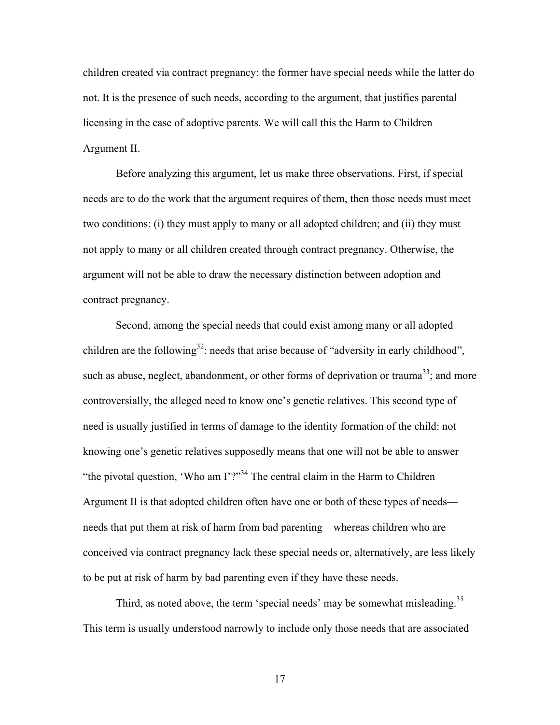children created via contract pregnancy: the former have special needs while the latter do not. It is the presence of such needs, according to the argument, that justifies parental licensing in the case of adoptive parents. We will call this the Harm to Children Argument II.

Before analyzing this argument, let us make three observations. First, if special needs are to do the work that the argument requires of them, then those needs must meet two conditions: (i) they must apply to many or all adopted children; and (ii) they must not apply to many or all children created through contract pregnancy. Otherwise, the argument will not be able to draw the necessary distinction between adoption and contract pregnancy.

Second, among the special needs that could exist among many or all adopted children are the following<sup>32</sup>: needs that arise because of "adversity in early childhood", such as abuse, neglect, abandonment, or other forms of deprivation or trauma<sup>33</sup>; and more controversially, the alleged need to know one's genetic relatives. This second type of need is usually justified in terms of damage to the identity formation of the child: not knowing one's genetic relatives supposedly means that one will not be able to answer "the pivotal question, 'Who am I'?"<sup>34</sup> The central claim in the Harm to Children Argument II is that adopted children often have one or both of these types of needs needs that put them at risk of harm from bad parenting—whereas children who are conceived via contract pregnancy lack these special needs or, alternatively, are less likely to be put at risk of harm by bad parenting even if they have these needs.

Third, as noted above, the term 'special needs' may be somewhat misleading.<sup>35</sup> This term is usually understood narrowly to include only those needs that are associated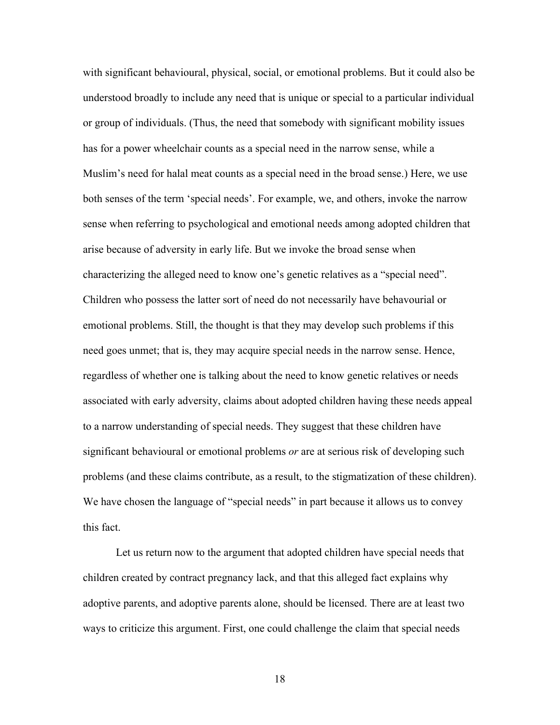with significant behavioural, physical, social, or emotional problems. But it could also be understood broadly to include any need that is unique or special to a particular individual or group of individuals. (Thus, the need that somebody with significant mobility issues has for a power wheelchair counts as a special need in the narrow sense, while a Muslim's need for halal meat counts as a special need in the broad sense.) Here, we use both senses of the term 'special needs'. For example, we, and others, invoke the narrow sense when referring to psychological and emotional needs among adopted children that arise because of adversity in early life. But we invoke the broad sense when characterizing the alleged need to know one's genetic relatives as a "special need". Children who possess the latter sort of need do not necessarily have behavourial or emotional problems. Still, the thought is that they may develop such problems if this need goes unmet; that is, they may acquire special needs in the narrow sense. Hence, regardless of whether one is talking about the need to know genetic relatives or needs associated with early adversity, claims about adopted children having these needs appeal to a narrow understanding of special needs. They suggest that these children have significant behavioural or emotional problems *or* are at serious risk of developing such problems (and these claims contribute, as a result, to the stigmatization of these children). We have chosen the language of "special needs" in part because it allows us to convey this fact.

Let us return now to the argument that adopted children have special needs that children created by contract pregnancy lack, and that this alleged fact explains why adoptive parents, and adoptive parents alone, should be licensed. There are at least two ways to criticize this argument. First, one could challenge the claim that special needs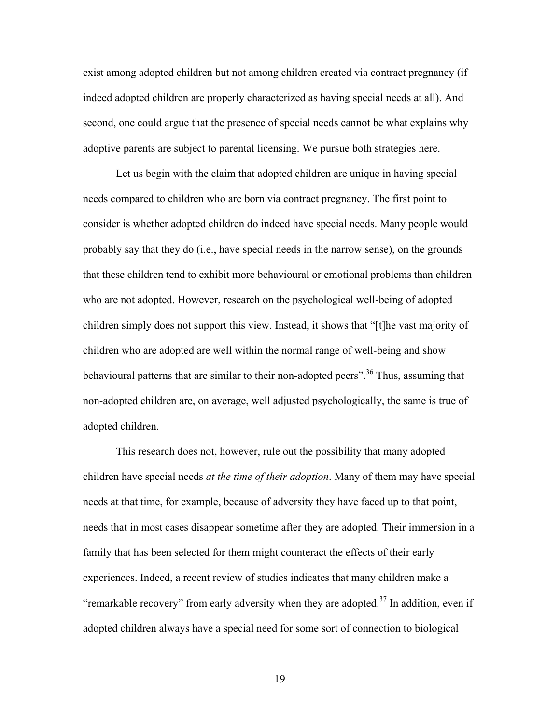exist among adopted children but not among children created via contract pregnancy (if indeed adopted children are properly characterized as having special needs at all). And second, one could argue that the presence of special needs cannot be what explains why adoptive parents are subject to parental licensing. We pursue both strategies here.

Let us begin with the claim that adopted children are unique in having special needs compared to children who are born via contract pregnancy. The first point to consider is whether adopted children do indeed have special needs. Many people would probably say that they do (i.e., have special needs in the narrow sense), on the grounds that these children tend to exhibit more behavioural or emotional problems than children who are not adopted. However, research on the psychological well-being of adopted children simply does not support this view. Instead, it shows that "[t]he vast majority of children who are adopted are well within the normal range of well-being and show behavioural patterns that are similar to their non-adopted peers".<sup>36</sup> Thus, assuming that non-adopted children are, on average, well adjusted psychologically, the same is true of adopted children.

This research does not, however, rule out the possibility that many adopted children have special needs *at the time of their adoption*. Many of them may have special needs at that time, for example, because of adversity they have faced up to that point, needs that in most cases disappear sometime after they are adopted. Their immersion in a family that has been selected for them might counteract the effects of their early experiences. Indeed, a recent review of studies indicates that many children make a "remarkable recovery" from early adversity when they are adopted.<sup>37</sup> In addition, even if adopted children always have a special need for some sort of connection to biological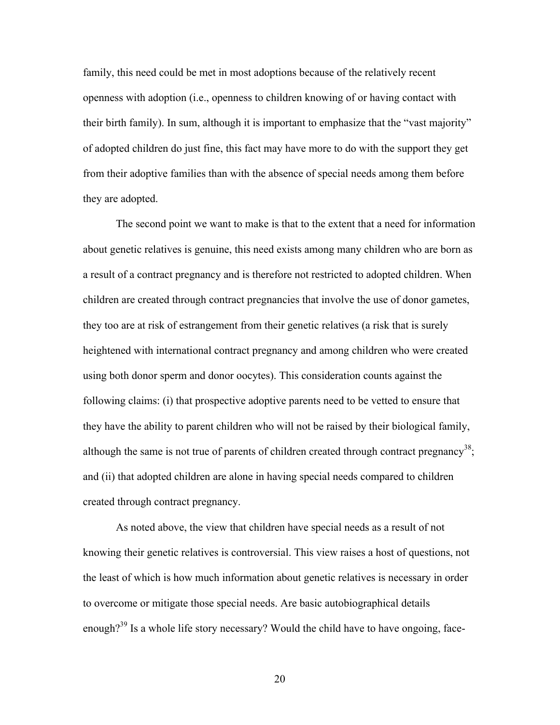family, this need could be met in most adoptions because of the relatively recent openness with adoption (i.e., openness to children knowing of or having contact with their birth family). In sum, although it is important to emphasize that the "vast majority" of adopted children do just fine, this fact may have more to do with the support they get from their adoptive families than with the absence of special needs among them before they are adopted.

The second point we want to make is that to the extent that a need for information about genetic relatives is genuine, this need exists among many children who are born as a result of a contract pregnancy and is therefore not restricted to adopted children. When children are created through contract pregnancies that involve the use of donor gametes, they too are at risk of estrangement from their genetic relatives (a risk that is surely heightened with international contract pregnancy and among children who were created using both donor sperm and donor oocytes). This consideration counts against the following claims: (i) that prospective adoptive parents need to be vetted to ensure that they have the ability to parent children who will not be raised by their biological family, although the same is not true of parents of children created through contract pregnancy<sup>38</sup>; and (ii) that adopted children are alone in having special needs compared to children created through contract pregnancy.

As noted above, the view that children have special needs as a result of not knowing their genetic relatives is controversial. This view raises a host of questions, not the least of which is how much information about genetic relatives is necessary in order to overcome or mitigate those special needs. Are basic autobiographical details enough?<sup>39</sup> Is a whole life story necessary? Would the child have to have ongoing, face-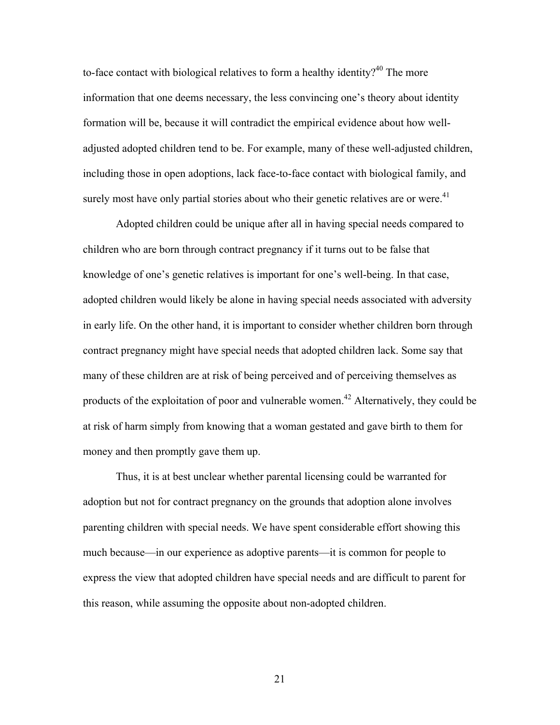to-face contact with biological relatives to form a healthy identity?<sup>40</sup> The more information that one deems necessary, the less convincing one's theory about identity formation will be, because it will contradict the empirical evidence about how welladjusted adopted children tend to be. For example, many of these well-adjusted children, including those in open adoptions, lack face-to-face contact with biological family, and surely most have only partial stories about who their genetic relatives are or were.<sup>41</sup>

Adopted children could be unique after all in having special needs compared to children who are born through contract pregnancy if it turns out to be false that knowledge of one's genetic relatives is important for one's well-being. In that case, adopted children would likely be alone in having special needs associated with adversity in early life. On the other hand, it is important to consider whether children born through contract pregnancy might have special needs that adopted children lack. Some say that many of these children are at risk of being perceived and of perceiving themselves as products of the exploitation of poor and vulnerable women.<sup>42</sup> Alternatively, they could be at risk of harm simply from knowing that a woman gestated and gave birth to them for money and then promptly gave them up.

Thus, it is at best unclear whether parental licensing could be warranted for adoption but not for contract pregnancy on the grounds that adoption alone involves parenting children with special needs. We have spent considerable effort showing this much because—in our experience as adoptive parents—it is common for people to express the view that adopted children have special needs and are difficult to parent for this reason, while assuming the opposite about non-adopted children.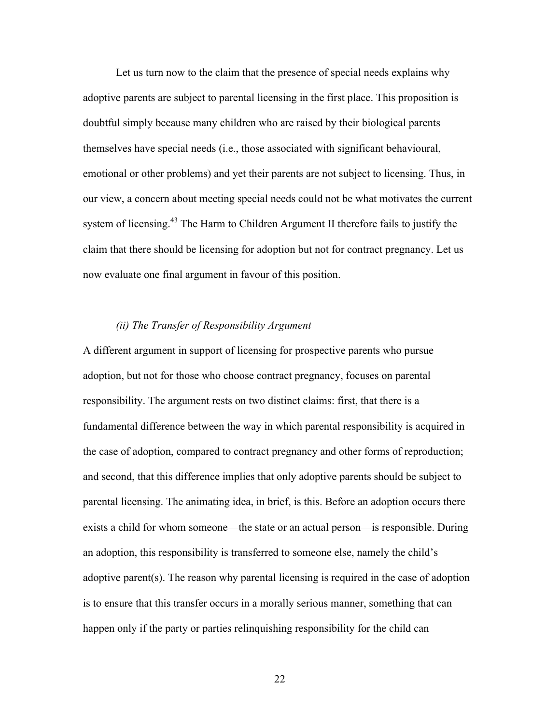Let us turn now to the claim that the presence of special needs explains why adoptive parents are subject to parental licensing in the first place. This proposition is doubtful simply because many children who are raised by their biological parents themselves have special needs (i.e., those associated with significant behavioural, emotional or other problems) and yet their parents are not subject to licensing. Thus, in our view, a concern about meeting special needs could not be what motivates the current system of licensing.<sup>43</sup> The Harm to Children Argument II therefore fails to justify the claim that there should be licensing for adoption but not for contract pregnancy. Let us now evaluate one final argument in favour of this position.

# *(ii) The Transfer of Responsibility Argument*

A different argument in support of licensing for prospective parents who pursue adoption, but not for those who choose contract pregnancy, focuses on parental responsibility. The argument rests on two distinct claims: first, that there is a fundamental difference between the way in which parental responsibility is acquired in the case of adoption, compared to contract pregnancy and other forms of reproduction; and second, that this difference implies that only adoptive parents should be subject to parental licensing. The animating idea, in brief, is this. Before an adoption occurs there exists a child for whom someone—the state or an actual person—is responsible. During an adoption, this responsibility is transferred to someone else, namely the child's adoptive parent(s). The reason why parental licensing is required in the case of adoption is to ensure that this transfer occurs in a morally serious manner, something that can happen only if the party or parties relinquishing responsibility for the child can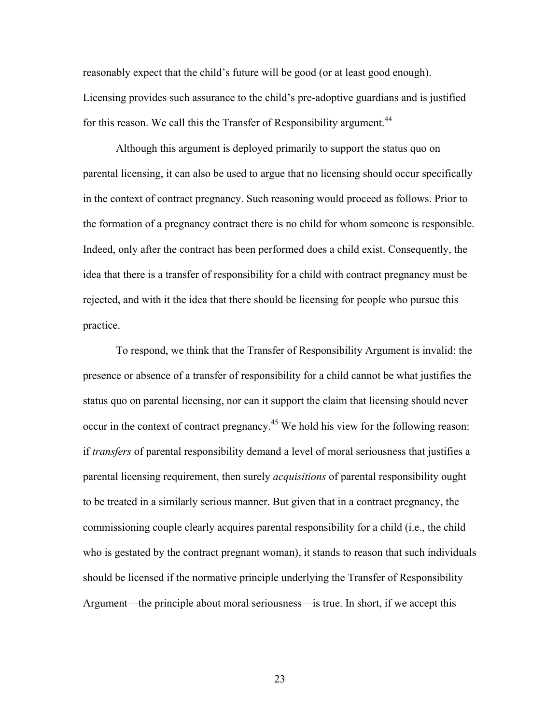reasonably expect that the child's future will be good (or at least good enough). Licensing provides such assurance to the child's pre-adoptive guardians and is justified for this reason. We call this the Transfer of Responsibility argument.<sup>44</sup>

Although this argument is deployed primarily to support the status quo on parental licensing, it can also be used to argue that no licensing should occur specifically in the context of contract pregnancy. Such reasoning would proceed as follows. Prior to the formation of a pregnancy contract there is no child for whom someone is responsible. Indeed, only after the contract has been performed does a child exist. Consequently, the idea that there is a transfer of responsibility for a child with contract pregnancy must be rejected, and with it the idea that there should be licensing for people who pursue this practice.

To respond, we think that the Transfer of Responsibility Argument is invalid: the presence or absence of a transfer of responsibility for a child cannot be what justifies the status quo on parental licensing, nor can it support the claim that licensing should never occur in the context of contract pregnancy.<sup>45</sup> We hold his view for the following reason: if *transfers* of parental responsibility demand a level of moral seriousness that justifies a parental licensing requirement, then surely *acquisitions* of parental responsibility ought to be treated in a similarly serious manner. But given that in a contract pregnancy, the commissioning couple clearly acquires parental responsibility for a child (i.e., the child who is gestated by the contract pregnant woman), it stands to reason that such individuals should be licensed if the normative principle underlying the Transfer of Responsibility Argument—the principle about moral seriousness—is true. In short, if we accept this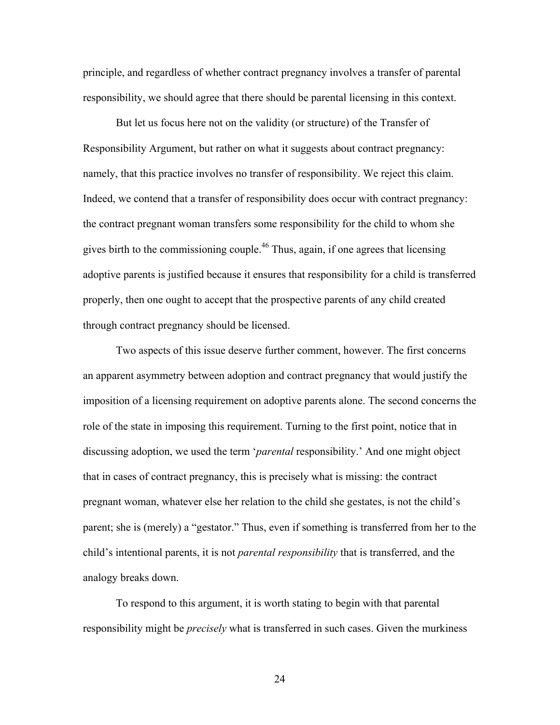principle, and regardless of whether contract pregnancy involves a transfer of parental responsibility, we should agree that there should be parental licensing in this context.

But let us focus here not on the validity (or structure) of the Transfer of Responsibility Argument, but rather on what it suggests about contract pregnancy: namely, that this practice involves no transfer of responsibility. We reject this claim. Indeed, we contend that a transfer of responsibility does occur with contract pregnancy: the contract pregnant woman transfers some responsibility for the child to whom she gives birth to the commissioning couple.<sup>46</sup> Thus, again, if one agrees that licensing adoptive parents is justified because it ensures that responsibility for a child is transferred properly, then one ought to accept that the prospective parents of any child created through contract pregnancy should be licensed.

Two aspects of this issue deserve further comment, however. The first concerns an apparent asymmetry between adoption and contract pregnancy that would justify the imposition of a licensing requirement on adoptive parents alone. The second concerns the role of the state in imposing this requirement. Turning to the first point, notice that in discussing adoption, we used the term '*parental* responsibility.' And one might object that in cases of contract pregnancy, this is precisely what is missing: the contract pregnant woman, whatever else her relation to the child she gestates, is not the child's parent; she is (merely) a "gestator." Thus, even if something is transferred from her to the child's intentional parents, it is not *parental responsibility* that is transferred, and the analogy breaks down.

To respond to this argument, it is worth stating to begin with that parental responsibility might be *precisely* what is transferred in such cases. Given the murkiness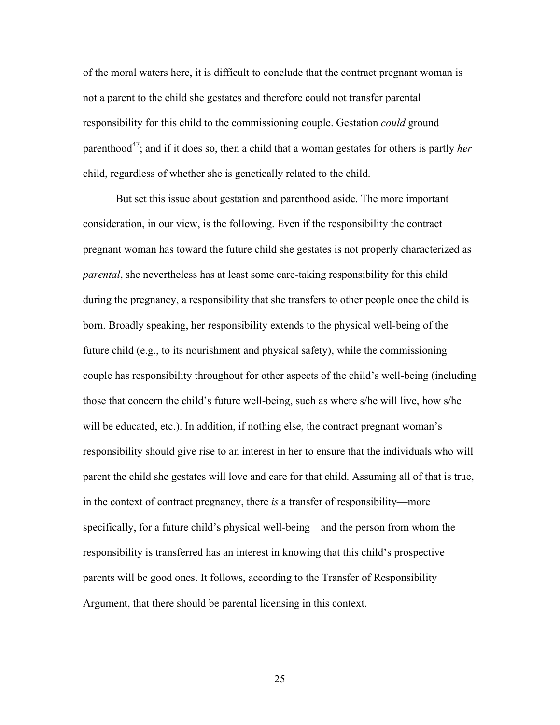of the moral waters here, it is difficult to conclude that the contract pregnant woman is not a parent to the child she gestates and therefore could not transfer parental responsibility for this child to the commissioning couple. Gestation *could* ground parenthood<sup>47</sup>; and if it does so, then a child that a woman gestates for others is partly *her* child, regardless of whether she is genetically related to the child.

But set this issue about gestation and parenthood aside. The more important consideration, in our view, is the following. Even if the responsibility the contract pregnant woman has toward the future child she gestates is not properly characterized as *parental*, she nevertheless has at least some care-taking responsibility for this child during the pregnancy, a responsibility that she transfers to other people once the child is born. Broadly speaking, her responsibility extends to the physical well-being of the future child (e.g., to its nourishment and physical safety), while the commissioning couple has responsibility throughout for other aspects of the child's well-being (including those that concern the child's future well-being, such as where s/he will live, how s/he will be educated, etc.). In addition, if nothing else, the contract pregnant woman's responsibility should give rise to an interest in her to ensure that the individuals who will parent the child she gestates will love and care for that child. Assuming all of that is true, in the context of contract pregnancy, there *is* a transfer of responsibility—more specifically, for a future child's physical well-being—and the person from whom the responsibility is transferred has an interest in knowing that this child's prospective parents will be good ones. It follows, according to the Transfer of Responsibility Argument, that there should be parental licensing in this context.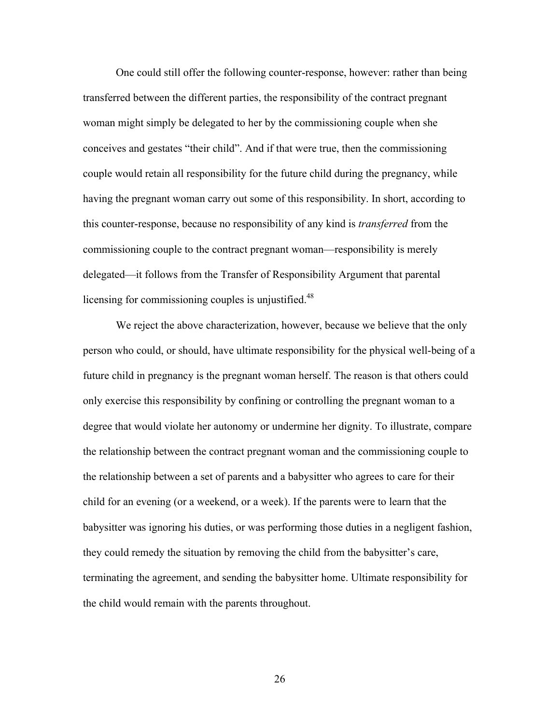One could still offer the following counter-response, however: rather than being transferred between the different parties, the responsibility of the contract pregnant woman might simply be delegated to her by the commissioning couple when she conceives and gestates "their child". And if that were true, then the commissioning couple would retain all responsibility for the future child during the pregnancy, while having the pregnant woman carry out some of this responsibility. In short, according to this counter-response, because no responsibility of any kind is *transferred* from the commissioning couple to the contract pregnant woman—responsibility is merely delegated—it follows from the Transfer of Responsibility Argument that parental licensing for commissioning couples is unjustified.<sup>48</sup>

We reject the above characterization, however, because we believe that the only person who could, or should, have ultimate responsibility for the physical well-being of a future child in pregnancy is the pregnant woman herself. The reason is that others could only exercise this responsibility by confining or controlling the pregnant woman to a degree that would violate her autonomy or undermine her dignity. To illustrate, compare the relationship between the contract pregnant woman and the commissioning couple to the relationship between a set of parents and a babysitter who agrees to care for their child for an evening (or a weekend, or a week). If the parents were to learn that the babysitter was ignoring his duties, or was performing those duties in a negligent fashion, they could remedy the situation by removing the child from the babysitter's care, terminating the agreement, and sending the babysitter home. Ultimate responsibility for the child would remain with the parents throughout.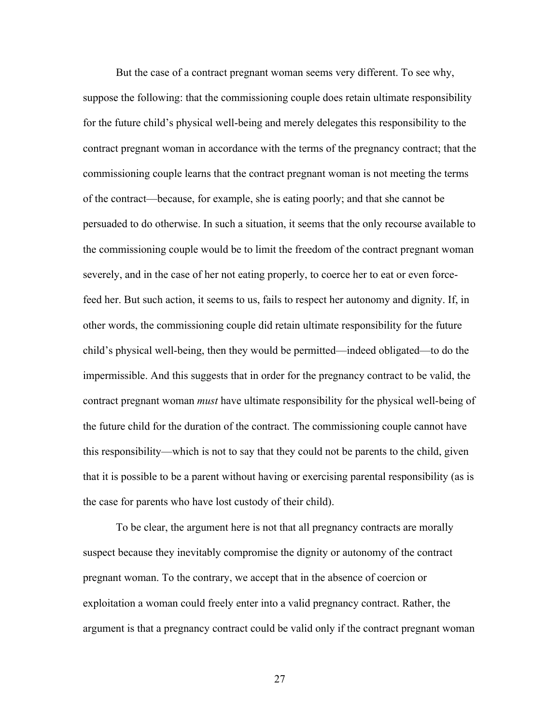But the case of a contract pregnant woman seems very different. To see why, suppose the following: that the commissioning couple does retain ultimate responsibility for the future child's physical well-being and merely delegates this responsibility to the contract pregnant woman in accordance with the terms of the pregnancy contract; that the commissioning couple learns that the contract pregnant woman is not meeting the terms of the contract—because, for example, she is eating poorly; and that she cannot be persuaded to do otherwise. In such a situation, it seems that the only recourse available to the commissioning couple would be to limit the freedom of the contract pregnant woman severely, and in the case of her not eating properly, to coerce her to eat or even forcefeed her. But such action, it seems to us, fails to respect her autonomy and dignity. If, in other words, the commissioning couple did retain ultimate responsibility for the future child's physical well-being, then they would be permitted—indeed obligated—to do the impermissible. And this suggests that in order for the pregnancy contract to be valid, the contract pregnant woman *must* have ultimate responsibility for the physical well-being of the future child for the duration of the contract. The commissioning couple cannot have this responsibility—which is not to say that they could not be parents to the child, given that it is possible to be a parent without having or exercising parental responsibility (as is the case for parents who have lost custody of their child).

To be clear, the argument here is not that all pregnancy contracts are morally suspect because they inevitably compromise the dignity or autonomy of the contract pregnant woman. To the contrary, we accept that in the absence of coercion or exploitation a woman could freely enter into a valid pregnancy contract. Rather, the argument is that a pregnancy contract could be valid only if the contract pregnant woman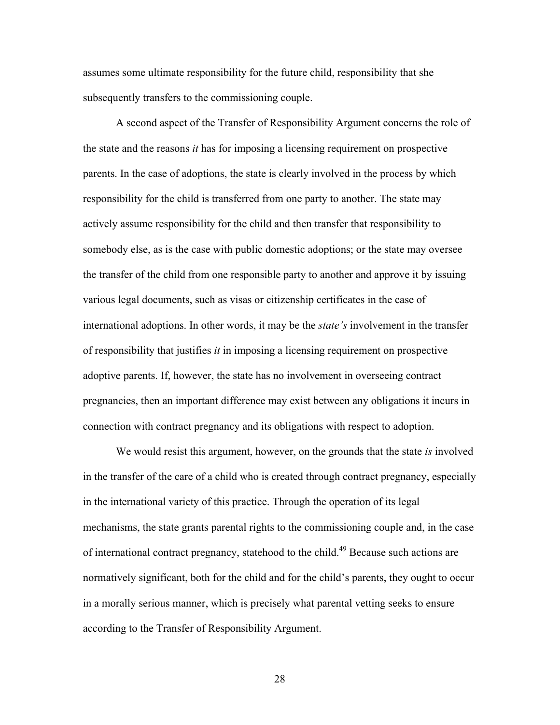assumes some ultimate responsibility for the future child, responsibility that she subsequently transfers to the commissioning couple.

A second aspect of the Transfer of Responsibility Argument concerns the role of the state and the reasons *it* has for imposing a licensing requirement on prospective parents. In the case of adoptions, the state is clearly involved in the process by which responsibility for the child is transferred from one party to another. The state may actively assume responsibility for the child and then transfer that responsibility to somebody else, as is the case with public domestic adoptions; or the state may oversee the transfer of the child from one responsible party to another and approve it by issuing various legal documents, such as visas or citizenship certificates in the case of international adoptions. In other words, it may be the *state's* involvement in the transfer of responsibility that justifies *it* in imposing a licensing requirement on prospective adoptive parents. If, however, the state has no involvement in overseeing contract pregnancies, then an important difference may exist between any obligations it incurs in connection with contract pregnancy and its obligations with respect to adoption.

We would resist this argument, however, on the grounds that the state *is* involved in the transfer of the care of a child who is created through contract pregnancy, especially in the international variety of this practice. Through the operation of its legal mechanisms, the state grants parental rights to the commissioning couple and, in the case of international contract pregnancy, statehood to the child.<sup>49</sup> Because such actions are normatively significant, both for the child and for the child's parents, they ought to occur in a morally serious manner, which is precisely what parental vetting seeks to ensure according to the Transfer of Responsibility Argument.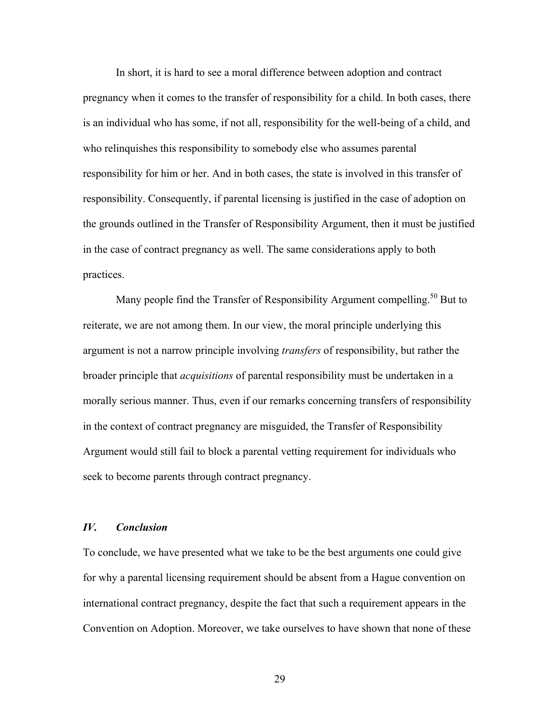In short, it is hard to see a moral difference between adoption and contract pregnancy when it comes to the transfer of responsibility for a child. In both cases, there is an individual who has some, if not all, responsibility for the well-being of a child, and who relinquishes this responsibility to somebody else who assumes parental responsibility for him or her. And in both cases, the state is involved in this transfer of responsibility. Consequently, if parental licensing is justified in the case of adoption on the grounds outlined in the Transfer of Responsibility Argument, then it must be justified in the case of contract pregnancy as well. The same considerations apply to both practices.

Many people find the Transfer of Responsibility Argument compelling.<sup>50</sup> But to reiterate, we are not among them. In our view, the moral principle underlying this argument is not a narrow principle involving *transfers* of responsibility, but rather the broader principle that *acquisitions* of parental responsibility must be undertaken in a morally serious manner. Thus, even if our remarks concerning transfers of responsibility in the context of contract pregnancy are misguided, the Transfer of Responsibility Argument would still fail to block a parental vetting requirement for individuals who seek to become parents through contract pregnancy.

# *IV. Conclusion*

To conclude, we have presented what we take to be the best arguments one could give for why a parental licensing requirement should be absent from a Hague convention on international contract pregnancy, despite the fact that such a requirement appears in the Convention on Adoption. Moreover, we take ourselves to have shown that none of these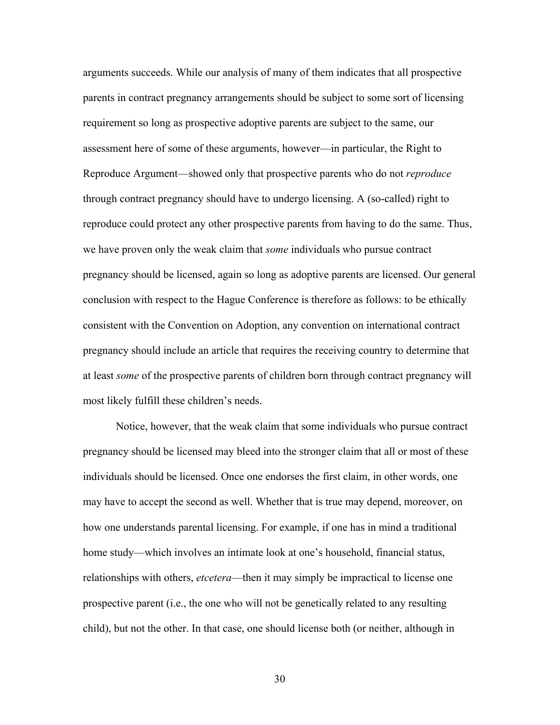arguments succeeds. While our analysis of many of them indicates that all prospective parents in contract pregnancy arrangements should be subject to some sort of licensing requirement so long as prospective adoptive parents are subject to the same, our assessment here of some of these arguments, however—in particular, the Right to Reproduce Argument—showed only that prospective parents who do not *reproduce*  through contract pregnancy should have to undergo licensing. A (so-called) right to reproduce could protect any other prospective parents from having to do the same. Thus, we have proven only the weak claim that *some* individuals who pursue contract pregnancy should be licensed, again so long as adoptive parents are licensed. Our general conclusion with respect to the Hague Conference is therefore as follows: to be ethically consistent with the Convention on Adoption, any convention on international contract pregnancy should include an article that requires the receiving country to determine that at least *some* of the prospective parents of children born through contract pregnancy will most likely fulfill these children's needs.

Notice, however, that the weak claim that some individuals who pursue contract pregnancy should be licensed may bleed into the stronger claim that all or most of these individuals should be licensed. Once one endorses the first claim, in other words, one may have to accept the second as well. Whether that is true may depend, moreover, on how one understands parental licensing. For example, if one has in mind a traditional home study—which involves an intimate look at one's household, financial status, relationships with others, *etcetera*—then it may simply be impractical to license one prospective parent (i.e., the one who will not be genetically related to any resulting child), but not the other. In that case, one should license both (or neither, although in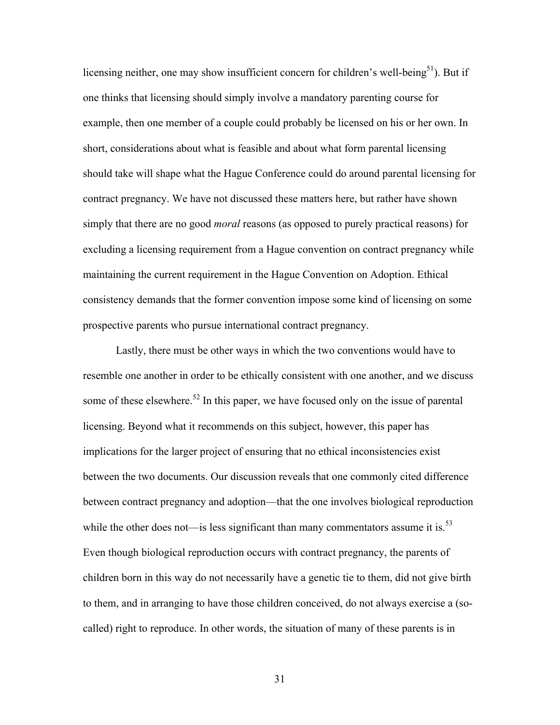licensing neither, one may show insufficient concern for children's well-being<sup>51</sup>). But if one thinks that licensing should simply involve a mandatory parenting course for example, then one member of a couple could probably be licensed on his or her own. In short, considerations about what is feasible and about what form parental licensing should take will shape what the Hague Conference could do around parental licensing for contract pregnancy. We have not discussed these matters here, but rather have shown simply that there are no good *moral* reasons (as opposed to purely practical reasons) for excluding a licensing requirement from a Hague convention on contract pregnancy while maintaining the current requirement in the Hague Convention on Adoption. Ethical consistency demands that the former convention impose some kind of licensing on some prospective parents who pursue international contract pregnancy.

Lastly, there must be other ways in which the two conventions would have to resemble one another in order to be ethically consistent with one another, and we discuss some of these elsewhere.<sup>52</sup> In this paper, we have focused only on the issue of parental licensing. Beyond what it recommends on this subject, however, this paper has implications for the larger project of ensuring that no ethical inconsistencies exist between the two documents. Our discussion reveals that one commonly cited difference between contract pregnancy and adoption—that the one involves biological reproduction while the other does not—is less significant than many commentators assume it is. $^{53}$ Even though biological reproduction occurs with contract pregnancy, the parents of children born in this way do not necessarily have a genetic tie to them, did not give birth to them, and in arranging to have those children conceived, do not always exercise a (socalled) right to reproduce. In other words, the situation of many of these parents is in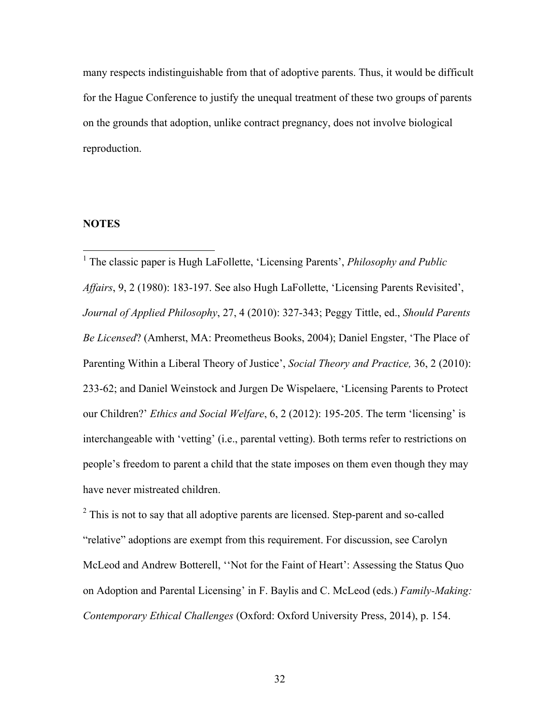many respects indistinguishable from that of adoptive parents. Thus, it would be difficult for the Hague Conference to justify the unequal treatment of these two groups of parents on the grounds that adoption, unlike contract pregnancy, does not involve biological reproduction.

# **NOTES**

 <sup>1</sup> The classic paper is Hugh LaFollette, 'Licensing Parents', *Philosophy and Public Affairs*, 9, 2 (1980): 183-197. See also Hugh LaFollette, 'Licensing Parents Revisited', *Journal of Applied Philosophy*, 27, 4 (2010): 327-343; Peggy Tittle, ed., *Should Parents Be Licensed*? (Amherst, MA: Preometheus Books, 2004); Daniel Engster, 'The Place of Parenting Within a Liberal Theory of Justice', *Social Theory and Practice,* 36, 2 (2010): 233-62; and Daniel Weinstock and Jurgen De Wispelaere, 'Licensing Parents to Protect our Children?' *Ethics and Social Welfare*, 6, 2 (2012): 195-205. The term 'licensing' is interchangeable with 'vetting' (i.e., parental vetting). Both terms refer to restrictions on people's freedom to parent a child that the state imposes on them even though they may have never mistreated children.

 $2^2$  This is not to say that all adoptive parents are licensed. Step-parent and so-called "relative" adoptions are exempt from this requirement. For discussion, see Carolyn McLeod and Andrew Botterell, ''Not for the Faint of Heart': Assessing the Status Quo on Adoption and Parental Licensing' in F. Baylis and C. McLeod (eds.) *Family-Making: Contemporary Ethical Challenges* (Oxford: Oxford University Press, 2014), p. 154.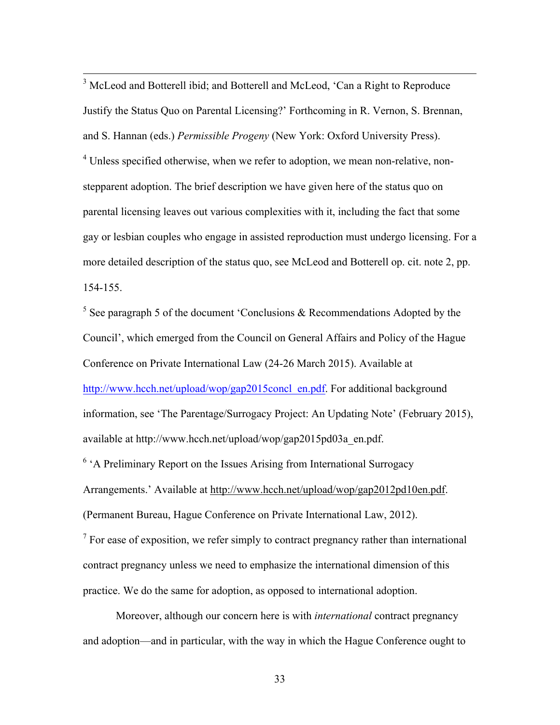<sup>3</sup> McLeod and Botterell ibid; and Botterell and McLeod, 'Can a Right to Reproduce Justify the Status Quo on Parental Licensing?' Forthcoming in R. Vernon, S. Brennan, and S. Hannan (eds.) *Permissible Progeny* (New York: Oxford University Press). <sup>4</sup> Unless specified otherwise, when we refer to adoption, we mean non-relative, nonstepparent adoption. The brief description we have given here of the status quo on parental licensing leaves out various complexities with it, including the fact that some gay or lesbian couples who engage in assisted reproduction must undergo licensing. For a more detailed description of the status quo, see McLeod and Botterell op. cit. note 2, pp. 154-155.

 $5$  See paragraph 5 of the document 'Conclusions & Recommendations Adopted by the Council', which emerged from the Council on General Affairs and Policy of the Hague Conference on Private International Law (24-26 March 2015). Available at http://www.hcch.net/upload/wop/gap2015concl\_en.pdf. For additional background information, see 'The Parentage/Surrogacy Project: An Updating Note' (February 2015), available at http://www.hcch.net/upload/wop/gap2015pd03a\_en.pdf.

 $6$  A Preliminary Report on the Issues Arising from International Surrogacy Arrangements.' Available at http://www.hcch.net/upload/wop/gap2012pd10en.pdf. (Permanent Bureau, Hague Conference on Private International Law, 2012).

 $<sup>7</sup>$  For ease of exposition, we refer simply to contract pregnancy rather than international</sup> contract pregnancy unless we need to emphasize the international dimension of this practice. We do the same for adoption, as opposed to international adoption.

Moreover, although our concern here is with *international* contract pregnancy and adoption—and in particular, with the way in which the Hague Conference ought to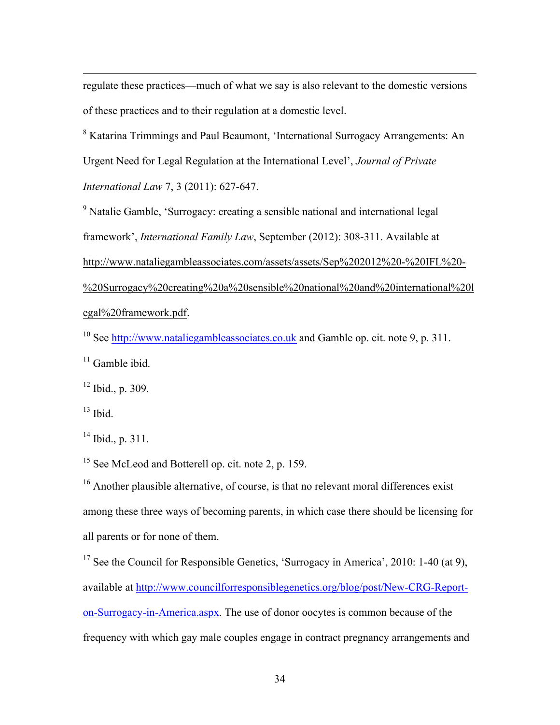regulate these practices—much of what we say is also relevant to the domestic versions of these practices and to their regulation at a domestic level.

<u> 2002 - Andrea San Andrew Maria (h. 1888).</u><br>2003 - Andrew Maria (h. 1882).

<sup>8</sup> Katarina Trimmings and Paul Beaumont, 'International Surrogacy Arrangements: An Urgent Need for Legal Regulation at the International Level', *Journal of Private International Law* 7, 3 (2011): 627-647.

<sup>9</sup> Natalie Gamble, 'Surrogacy: creating a sensible national and international legal framework', *International Family Law*, September (2012): 308-311. Available at http://www.nataliegambleassociates.com/assets/assets/Sep%202012%20-%20IFL%20- %20Surrogacy%20creating%20a%20sensible%20national%20and%20international%20l egal%20framework.pdf.

<sup>10</sup> See http://www.nataliegambleassociates.co.uk and Gamble op. cit. note 9, p. 311.

 $11$  Gamble ibid.

 $12$  Ibid., p. 309.

 $13$  Ibid.

 $14$  Ibid., p. 311.

<sup>15</sup> See McLeod and Botterell op. cit. note 2, p. 159.

<sup>16</sup> Another plausible alternative, of course, is that no relevant moral differences exist among these three ways of becoming parents, in which case there should be licensing for all parents or for none of them.

<sup>17</sup> See the Council for Responsible Genetics, 'Surrogacy in America', 2010: 1-40 (at 9), available at http://www.councilforresponsiblegenetics.org/blog/post/New-CRG-Reporton-Surrogacy-in-America.aspx. The use of donor oocytes is common because of the frequency with which gay male couples engage in contract pregnancy arrangements and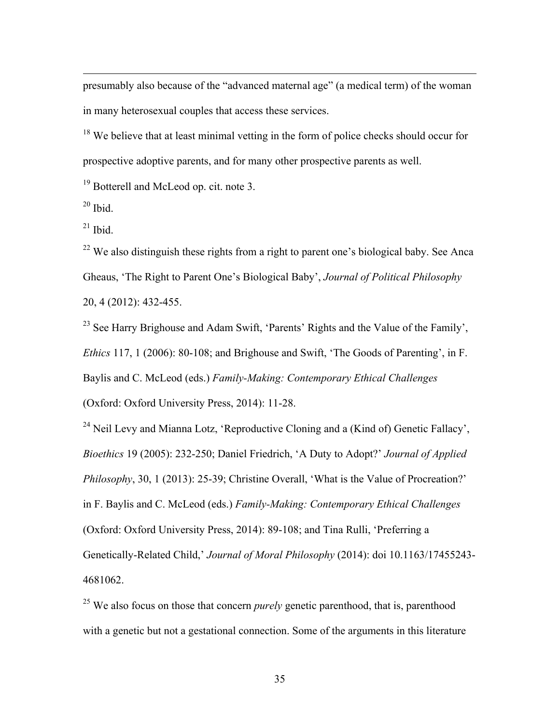presumably also because of the "advanced maternal age" (a medical term) of the woman in many heterosexual couples that access these services.

<u> 2002 - Andrea San Andrew Maria (h. 1888).</u><br>2003 - Andrew Maria (h. 1882).

<sup>18</sup> We believe that at least minimal vetting in the form of police checks should occur for prospective adoptive parents, and for many other prospective parents as well.

<sup>19</sup> Botterell and McLeod op. cit. note 3.

 $20$  Ibid.

 $21$  Ibid.

 $22$  We also distinguish these rights from a right to parent one's biological baby. See Anca Gheaus, 'The Right to Parent One's Biological Baby', *Journal of Political Philosophy* 20, 4 (2012): 432-455.

 $^{23}$  See Harry Brighouse and Adam Swift, 'Parents' Rights and the Value of the Family', *Ethics* 117, 1 (2006): 80-108; and Brighouse and Swift, 'The Goods of Parenting', in F. Baylis and C. McLeod (eds.) *Family-Making: Contemporary Ethical Challenges* (Oxford: Oxford University Press, 2014): 11-28.

<sup>24</sup> Neil Levy and Mianna Lotz, 'Reproductive Cloning and a (Kind of) Genetic Fallacy', *Bioethics* 19 (2005): 232-250; Daniel Friedrich, 'A Duty to Adopt?' *Journal of Applied Philosophy*, 30, 1 (2013): 25-39; Christine Overall, 'What is the Value of Procreation?' in F. Baylis and C. McLeod (eds.) *Family-Making: Contemporary Ethical Challenges* (Oxford: Oxford University Press, 2014): 89-108; and Tina Rulli, 'Preferring a Genetically-Related Child,' *Journal of Moral Philosophy* (2014): doi 10.1163/17455243- 4681062.

<sup>25</sup> We also focus on those that concern *purely* genetic parenthood, that is, parenthood with a genetic but not a gestational connection. Some of the arguments in this literature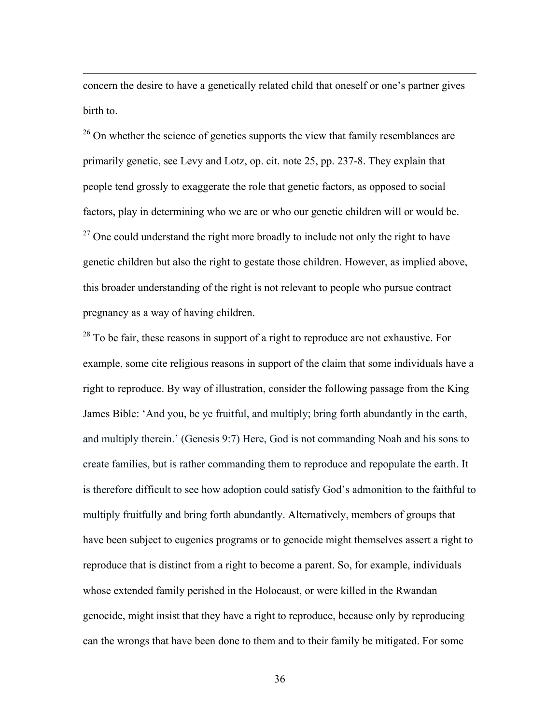concern the desire to have a genetically related child that oneself or one's partner gives birth to.

<u> 2002 - Andrea San Andrew Maria (h. 1888).</u><br>2003 - Andrew Maria (h. 1882).

<sup>26</sup> On whether the science of genetics supports the view that family resemblances are primarily genetic, see Levy and Lotz, op. cit. note 25, pp. 237-8. They explain that people tend grossly to exaggerate the role that genetic factors, as opposed to social factors, play in determining who we are or who our genetic children will or would be.  $27$  One could understand the right more broadly to include not only the right to have genetic children but also the right to gestate those children. However, as implied above, this broader understanding of the right is not relevant to people who pursue contract pregnancy as a way of having children.

 $^{28}$  To be fair, these reasons in support of a right to reproduce are not exhaustive. For example, some cite religious reasons in support of the claim that some individuals have a right to reproduce. By way of illustration, consider the following passage from the King James Bible: 'And you, be ye fruitful, and multiply; bring forth abundantly in the earth, and multiply therein.' (Genesis 9:7) Here, God is not commanding Noah and his sons to create families, but is rather commanding them to reproduce and repopulate the earth. It is therefore difficult to see how adoption could satisfy God's admonition to the faithful to multiply fruitfully and bring forth abundantly. Alternatively, members of groups that have been subject to eugenics programs or to genocide might themselves assert a right to reproduce that is distinct from a right to become a parent. So, for example, individuals whose extended family perished in the Holocaust, or were killed in the Rwandan genocide, might insist that they have a right to reproduce, because only by reproducing can the wrongs that have been done to them and to their family be mitigated. For some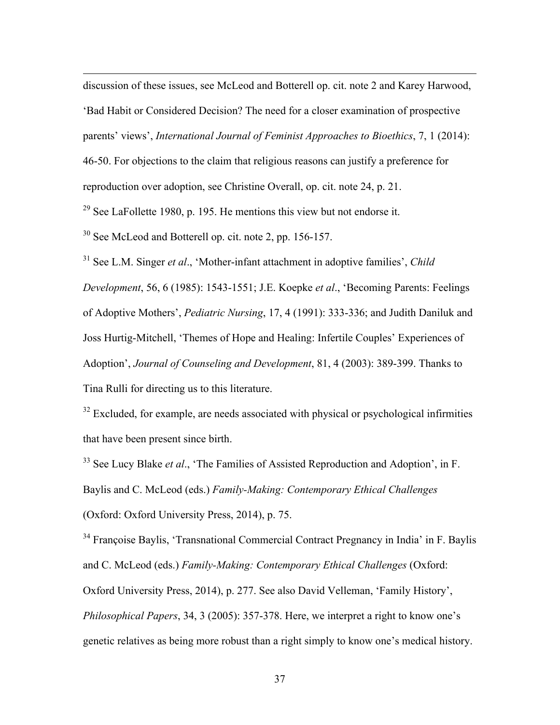discussion of these issues, see McLeod and Botterell op. cit. note 2 and Karey Harwood, 'Bad Habit or Considered Decision? The need for a closer examination of prospective parents' views', *International Journal of Feminist Approaches to Bioethics*, 7, 1 (2014):

<u> 2002 - Andrea San Andrew Maria (h. 1888).</u><br>2003 - Andrew Maria (h. 1882).

46-50. For objections to the claim that religious reasons can justify a preference for reproduction over adoption, see Christine Overall, op. cit. note 24, p. 21.

 $29$  See LaFollette 1980, p. 195. He mentions this view but not endorse it.

<sup>30</sup> See McLeod and Botterell op. cit. note 2, pp. 156-157.

<sup>31</sup> See L.M. Singer *et al*., 'Mother-infant attachment in adoptive families', *Child Development*, 56, 6 (1985): 1543-1551; J.E. Koepke *et al*., 'Becoming Parents: Feelings of Adoptive Mothers', *Pediatric Nursing*, 17, 4 (1991): 333-336; and Judith Daniluk and Joss Hurtig-Mitchell, 'Themes of Hope and Healing: Infertile Couples' Experiences of Adoption', *Journal of Counseling and Development*, 81, 4 (2003): 389-399. Thanks to Tina Rulli for directing us to this literature.

<sup>32</sup> Excluded, for example, are needs associated with physical or psychological infirmities that have been present since birth.

<sup>33</sup> See Lucy Blake *et al.*, 'The Families of Assisted Reproduction and Adoption', in F. Baylis and C. McLeod (eds.) *Family-Making: Contemporary Ethical Challenges* (Oxford: Oxford University Press, 2014), p. 75.

<sup>34</sup> Françoise Baylis, 'Transnational Commercial Contract Pregnancy in India' in F. Baylis and C. McLeod (eds.) *Family-Making: Contemporary Ethical Challenges* (Oxford: Oxford University Press, 2014), p. 277. See also David Velleman, 'Family History', *Philosophical Papers*, 34, 3 (2005): 357-378. Here, we interpret a right to know one's genetic relatives as being more robust than a right simply to know one's medical history.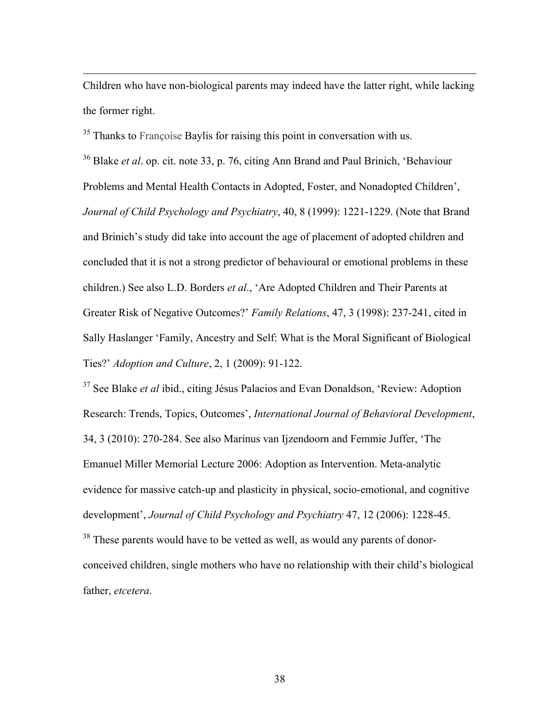Children who have non-biological parents may indeed have the latter right, while lacking the former right.

<u> 2002 - Andrea San Andrew Maria (h. 1888).</u><br>2003 - Andrew Maria (h. 1882).

<sup>35</sup> Thanks to Françoise Baylis for raising this point in conversation with us.

<sup>36</sup> Blake *et al*. op. cit. note 33, p. 76, citing Ann Brand and Paul Brinich, 'Behaviour Problems and Mental Health Contacts in Adopted, Foster, and Nonadopted Children', *Journal of Child Psychology and Psychiatry*, 40, 8 (1999): 1221-1229. (Note that Brand and Brinich's study did take into account the age of placement of adopted children and concluded that it is not a strong predictor of behavioural or emotional problems in these children.) See also L.D. Borders *et al*., 'Are Adopted Children and Their Parents at Greater Risk of Negative Outcomes?' *Family Relations*, 47, 3 (1998): 237-241, cited in Sally Haslanger 'Family, Ancestry and Self: What is the Moral Significant of Biological Ties?' *Adoption and Culture*, 2, 1 (2009): 91-122.

<sup>37</sup> See Blake *et al* ibid., citing Jésus Palacios and Evan Donaldson, 'Review: Adoption Research: Trends, Topics, Outcomes', *International Journal of Behavioral Development*, 34, 3 (2010): 270-284. See also Marinus van Ijzendoorn and Femmie Juffer, 'The Emanuel Miller Memorial Lecture 2006: Adoption as Intervention. Meta-analytic evidence for massive catch-up and plasticity in physical, socio-emotional, and cognitive development', *Journal of Child Psychology and Psychiatry* 47, 12 (2006): 1228-45.

<sup>38</sup> These parents would have to be vetted as well, as would any parents of donorconceived children, single mothers who have no relationship with their child's biological father, *etcetera*.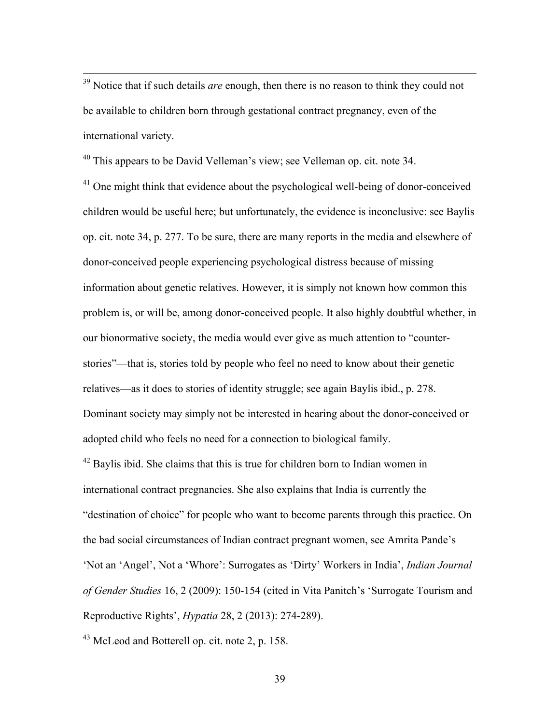<sup>39</sup> Notice that if such details *are* enough, then there is no reason to think they could not be available to children born through gestational contract pregnancy, even of the international variety.

<sup>40</sup> This appears to be David Velleman's view; see Velleman op. cit. note 34.

 $41$  One might think that evidence about the psychological well-being of donor-conceived children would be useful here; but unfortunately, the evidence is inconclusive: see Baylis op. cit. note 34, p. 277. To be sure, there are many reports in the media and elsewhere of donor-conceived people experiencing psychological distress because of missing information about genetic relatives. However, it is simply not known how common this problem is, or will be, among donor-conceived people. It also highly doubtful whether, in our bionormative society, the media would ever give as much attention to "counterstories"—that is, stories told by people who feel no need to know about their genetic relatives—as it does to stories of identity struggle; see again Baylis ibid., p. 278. Dominant society may simply not be interested in hearing about the donor-conceived or adopted child who feels no need for a connection to biological family.

 $42$  Baylis ibid. She claims that this is true for children born to Indian women in international contract pregnancies. She also explains that India is currently the "destination of choice" for people who want to become parents through this practice. On the bad social circumstances of Indian contract pregnant women, see Amrita Pande's 'Not an 'Angel', Not a 'Whore': Surrogates as 'Dirty' Workers in India', *Indian Journal of Gender Studies* 16, 2 (2009): 150-154 (cited in Vita Panitch's 'Surrogate Tourism and Reproductive Rights', *Hypatia* 28, 2 (2013): 274-289).

<sup>43</sup> McLeod and Botterell op. cit. note 2, p. 158.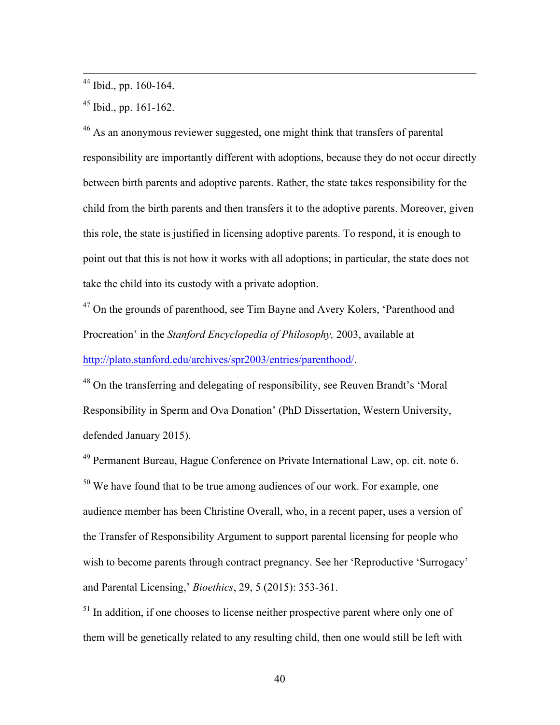<sup>44</sup> Ibid., pp. 160-164.

 $45$  Ibid., pp. 161-162.

<sup>46</sup> As an anonymous reviewer suggested, one might think that transfers of parental responsibility are importantly different with adoptions, because they do not occur directly between birth parents and adoptive parents. Rather, the state takes responsibility for the child from the birth parents and then transfers it to the adoptive parents. Moreover, given this role, the state is justified in licensing adoptive parents. To respond, it is enough to point out that this is not how it works with all adoptions; in particular, the state does not take the child into its custody with a private adoption.

<sup>47</sup> On the grounds of parenthood, see Tim Bayne and Avery Kolers, 'Parenthood and Procreation' in the *Stanford Encyclopedia of Philosophy,* 2003, available at http://plato.stanford.edu/archives/spr2003/entries/parenthood/.

<sup>48</sup> On the transferring and delegating of responsibility, see Reuven Brandt's 'Moral Responsibility in Sperm and Ova Donation' (PhD Dissertation, Western University, defended January 2015).

<sup>49</sup> Permanent Bureau, Hague Conference on Private International Law, op. cit. note 6.  $50$  We have found that to be true among audiences of our work. For example, one audience member has been Christine Overall, who, in a recent paper, uses a version of the Transfer of Responsibility Argument to support parental licensing for people who wish to become parents through contract pregnancy. See her 'Reproductive 'Surrogacy' and Parental Licensing,' *Bioethics*, 29, 5 (2015): 353-361.

 $<sup>51</sup>$  In addition, if one chooses to license neither prospective parent where only one of</sup> them will be genetically related to any resulting child, then one would still be left with